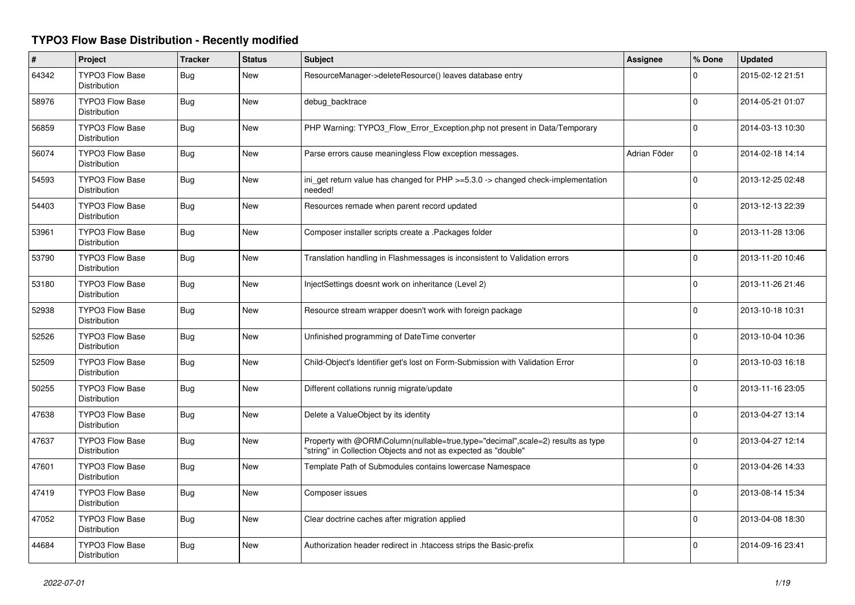## **TYPO3 Flow Base Distribution - Recently modified**

| #     | Project                                       | <b>Tracker</b> | <b>Status</b> | Subject                                                                                                                                           | <b>Assignee</b> | % Done       | <b>Updated</b>   |
|-------|-----------------------------------------------|----------------|---------------|---------------------------------------------------------------------------------------------------------------------------------------------------|-----------------|--------------|------------------|
| 64342 | <b>TYPO3 Flow Base</b><br><b>Distribution</b> | Bug            | New           | ResourceManager->deleteResource() leaves database entry                                                                                           |                 | 0            | 2015-02-12 21:51 |
| 58976 | <b>TYPO3 Flow Base</b><br><b>Distribution</b> | Bug            | <b>New</b>    | debug backtrace                                                                                                                                   |                 | $\Omega$     | 2014-05-21 01:07 |
| 56859 | <b>TYPO3 Flow Base</b><br>Distribution        | Bug            | <b>New</b>    | PHP Warning: TYPO3_Flow_Error_Exception.php not present in Data/Temporary                                                                         |                 | $\Omega$     | 2014-03-13 10:30 |
| 56074 | <b>TYPO3 Flow Base</b><br>Distribution        | Bug            | <b>New</b>    | Parse errors cause meaningless Flow exception messages.                                                                                           | Adrian Föder    | $\mathbf 0$  | 2014-02-18 14:14 |
| 54593 | <b>TYPO3 Flow Base</b><br>Distribution        | <b>Bug</b>     | New           | ini get return value has changed for $PHP \ge 5.3.0 \ge$ changed check-implementation<br>needed!                                                  |                 | $\mathbf{0}$ | 2013-12-25 02:48 |
| 54403 | <b>TYPO3 Flow Base</b><br>Distribution        | <b>Bug</b>     | New           | Resources remade when parent record updated                                                                                                       |                 | $\Omega$     | 2013-12-13 22:39 |
| 53961 | TYPO3 Flow Base<br>Distribution               | Bug            | <b>New</b>    | Composer installer scripts create a .Packages folder                                                                                              |                 | $\Omega$     | 2013-11-28 13:06 |
| 53790 | <b>TYPO3 Flow Base</b><br>Distribution        | <b>Bug</b>     | New           | Translation handling in Flashmessages is inconsistent to Validation errors                                                                        |                 | $\Omega$     | 2013-11-20 10:46 |
| 53180 | <b>TYPO3 Flow Base</b><br>Distribution        | Bug            | <b>New</b>    | InjectSettings doesnt work on inheritance (Level 2)                                                                                               |                 | $\Omega$     | 2013-11-26 21:46 |
| 52938 | <b>TYPO3 Flow Base</b><br>Distribution        | Bug            | New           | Resource stream wrapper doesn't work with foreign package                                                                                         |                 | $\Omega$     | 2013-10-18 10:31 |
| 52526 | <b>TYPO3 Flow Base</b><br><b>Distribution</b> | Bug            | New           | Unfinished programming of DateTime converter                                                                                                      |                 | $\Omega$     | 2013-10-04 10:36 |
| 52509 | <b>TYPO3 Flow Base</b><br><b>Distribution</b> | Bug            | New           | Child-Object's Identifier get's lost on Form-Submission with Validation Error                                                                     |                 | $\Omega$     | 2013-10-03 16:18 |
| 50255 | <b>TYPO3 Flow Base</b><br>Distribution        | Bug            | New           | Different collations runnig migrate/update                                                                                                        |                 | $\Omega$     | 2013-11-16 23:05 |
| 47638 | <b>TYPO3 Flow Base</b><br><b>Distribution</b> | Bug            | <b>New</b>    | Delete a ValueObject by its identity                                                                                                              |                 | $\Omega$     | 2013-04-27 13:14 |
| 47637 | <b>TYPO3 Flow Base</b><br>Distribution        | Bug            | New           | Property with @ORM\Column(nullable=true,type="decimal",scale=2) results as type<br>"string" in Collection Objects and not as expected as "double" |                 | $\Omega$     | 2013-04-27 12:14 |
| 47601 | <b>TYPO3 Flow Base</b><br><b>Distribution</b> | Bug            | New           | Template Path of Submodules contains lowercase Namespace                                                                                          |                 | $\Omega$     | 2013-04-26 14:33 |
| 47419 | <b>TYPO3 Flow Base</b><br><b>Distribution</b> | <b>Bug</b>     | New           | Composer issues                                                                                                                                   |                 | $\Omega$     | 2013-08-14 15:34 |
| 47052 | <b>TYPO3 Flow Base</b><br>Distribution        | <b>Bug</b>     | New           | Clear doctrine caches after migration applied                                                                                                     |                 | $\Omega$     | 2013-04-08 18:30 |
| 44684 | <b>TYPO3 Flow Base</b><br>Distribution        | <b>Bug</b>     | <b>New</b>    | Authorization header redirect in .htaccess strips the Basic-prefix                                                                                |                 | $\Omega$     | 2014-09-16 23:41 |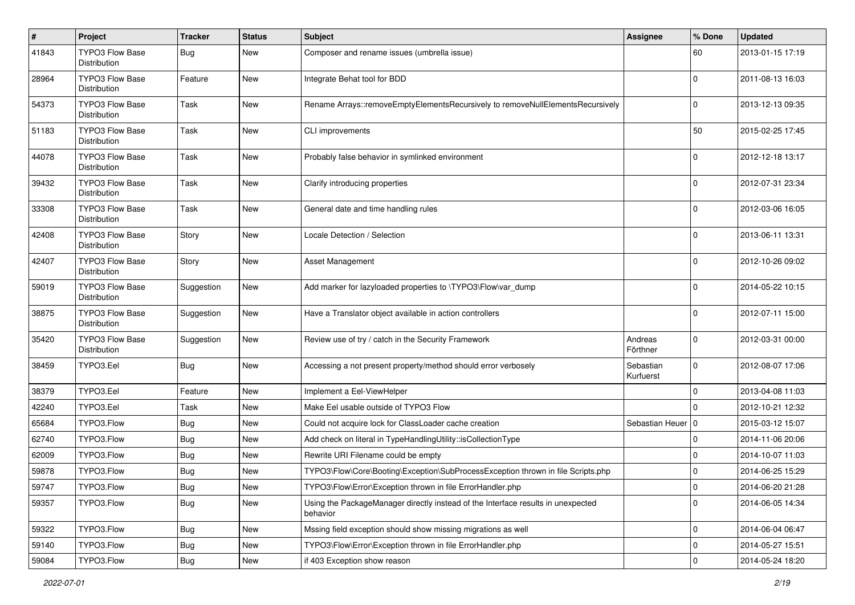| $\pmb{\#}$ | Project                                | <b>Tracker</b> | <b>Status</b> | Subject                                                                                      | <b>Assignee</b>        | % Done       | <b>Updated</b>   |
|------------|----------------------------------------|----------------|---------------|----------------------------------------------------------------------------------------------|------------------------|--------------|------------------|
| 41843      | TYPO3 Flow Base<br><b>Distribution</b> | Bug            | New           | Composer and rename issues (umbrella issue)                                                  |                        | 60           | 2013-01-15 17:19 |
| 28964      | TYPO3 Flow Base<br>Distribution        | Feature        | New           | Integrate Behat tool for BDD                                                                 |                        | $\mathbf 0$  | 2011-08-13 16:03 |
| 54373      | <b>TYPO3 Flow Base</b><br>Distribution | Task           | New           | Rename Arrays::removeEmptyElementsRecursively to removeNullElementsRecursively               |                        | $\mathbf 0$  | 2013-12-13 09:35 |
| 51183      | <b>TYPO3 Flow Base</b><br>Distribution | Task           | New           | CLI improvements                                                                             |                        | 50           | 2015-02-25 17:45 |
| 44078      | <b>TYPO3 Flow Base</b><br>Distribution | Task           | New           | Probably false behavior in symlinked environment                                             |                        | $\Omega$     | 2012-12-18 13:17 |
| 39432      | <b>TYPO3 Flow Base</b><br>Distribution | Task           | New           | Clarify introducing properties                                                               |                        | $\mathbf 0$  | 2012-07-31 23:34 |
| 33308      | TYPO3 Flow Base<br>Distribution        | Task           | <b>New</b>    | General date and time handling rules                                                         |                        | 0            | 2012-03-06 16:05 |
| 42408      | TYPO3 Flow Base<br>Distribution        | Story          | New           | Locale Detection / Selection                                                                 |                        | $\mathbf 0$  | 2013-06-11 13:31 |
| 42407      | <b>TYPO3 Flow Base</b><br>Distribution | Story          | New           | Asset Management                                                                             |                        | 0            | 2012-10-26 09:02 |
| 59019      | TYPO3 Flow Base<br>Distribution        | Suggestion     | New           | Add marker for lazyloaded properties to \TYPO3\Flow\var_dump                                 |                        | $\mathbf 0$  | 2014-05-22 10:15 |
| 38875      | <b>TYPO3 Flow Base</b><br>Distribution | Suggestion     | New           | Have a Translator object available in action controllers                                     |                        | $\Omega$     | 2012-07-11 15:00 |
| 35420      | TYPO3 Flow Base<br>Distribution        | Suggestion     | New           | Review use of try / catch in the Security Framework                                          | Andreas<br>Förthner    | $\mathbf{0}$ | 2012-03-31 00:00 |
| 38459      | TYPO3.Eel                              | Bug            | New           | Accessing a not present property/method should error verbosely                               | Sebastian<br>Kurfuerst | $\mathbf{0}$ | 2012-08-07 17:06 |
| 38379      | TYPO3.Eel                              | Feature        | New           | Implement a Eel-ViewHelper                                                                   |                        | $\mathbf 0$  | 2013-04-08 11:03 |
| 42240      | TYPO3.Eel                              | Task           | New           | Make Eel usable outside of TYPO3 Flow                                                        |                        | $\Omega$     | 2012-10-21 12:32 |
| 65684      | TYPO3.Flow                             | Bug            | New           | Could not acquire lock for ClassLoader cache creation                                        | Sebastian Heuer   0    |              | 2015-03-12 15:07 |
| 62740      | TYPO3.Flow                             | Bug            | New           | Add check on literal in TypeHandlingUtility::isCollectionType                                |                        | $\mathbf 0$  | 2014-11-06 20:06 |
| 62009      | TYPO3.Flow                             | <b>Bug</b>     | New           | Rewrite URI Filename could be empty                                                          |                        | 0            | 2014-10-07 11:03 |
| 59878      | TYPO3.Flow                             | <b>Bug</b>     | New           | TYPO3\Flow\Core\Booting\Exception\SubProcessException thrown in file Scripts.php             |                        | 0            | 2014-06-25 15:29 |
| 59747      | TYPO3.Flow                             | Bug            | New           | TYPO3\Flow\Error\Exception thrown in file ErrorHandler.php                                   |                        | 0            | 2014-06-20 21:28 |
| 59357      | TYPO3.Flow                             | Bug            | New           | Using the PackageManager directly instead of the Interface results in unexpected<br>behavior |                        | $\mathbf 0$  | 2014-06-05 14:34 |
| 59322      | TYPO3.Flow                             | <b>Bug</b>     | New           | Mssing field exception should show missing migrations as well                                |                        | $\mathbf 0$  | 2014-06-04 06:47 |
| 59140      | TYPO3.Flow                             | <b>Bug</b>     | New           | TYPO3\Flow\Error\Exception thrown in file ErrorHandler.php                                   |                        | $\mathbf 0$  | 2014-05-27 15:51 |
| 59084      | TYPO3.Flow                             | Bug            | New           | if 403 Exception show reason                                                                 |                        | $\mathbf 0$  | 2014-05-24 18:20 |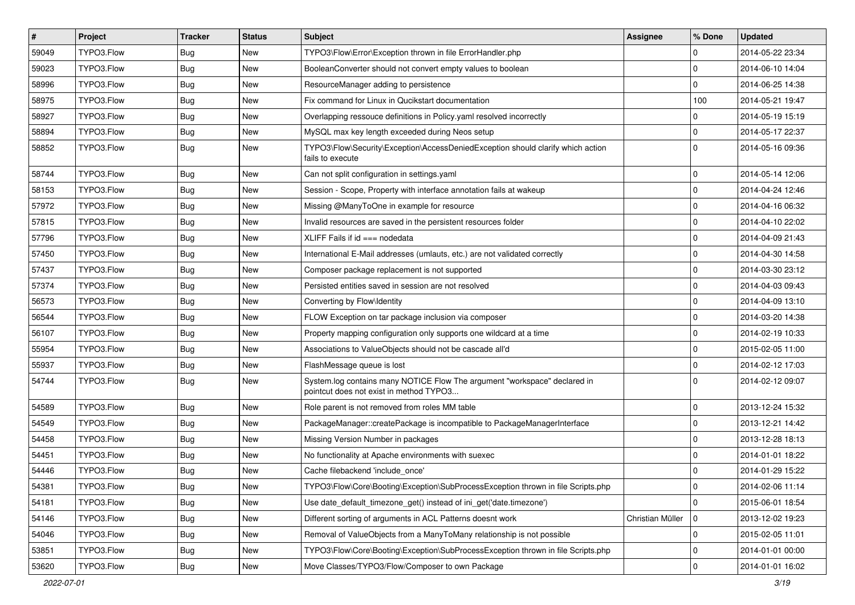| $\vert$ # | Project    | <b>Tracker</b> | <b>Status</b> | Subject                                                                                                              | <b>Assignee</b>  | % Done         | <b>Updated</b>   |
|-----------|------------|----------------|---------------|----------------------------------------------------------------------------------------------------------------------|------------------|----------------|------------------|
| 59049     | TYPO3.Flow | Bug            | New           | TYPO3\Flow\Error\Exception thrown in file ErrorHandler.php                                                           |                  | $\Omega$       | 2014-05-22 23:34 |
| 59023     | TYPO3.Flow | Bug            | <b>New</b>    | BooleanConverter should not convert empty values to boolean                                                          |                  | $\Omega$       | 2014-06-10 14:04 |
| 58996     | TYPO3.Flow | Bug            | New           | ResourceManager adding to persistence                                                                                |                  | $\Omega$       | 2014-06-25 14:38 |
| 58975     | TYPO3.Flow | Bug            | New           | Fix command for Linux in Qucikstart documentation                                                                    |                  | 100            | 2014-05-21 19:47 |
| 58927     | TYPO3.Flow | Bug            | New           | Overlapping ressouce definitions in Policy yaml resolved incorrectly                                                 |                  | $\Omega$       | 2014-05-19 15:19 |
| 58894     | TYPO3.Flow | Bug            | New           | MySQL max key length exceeded during Neos setup                                                                      |                  | $\Omega$       | 2014-05-17 22:37 |
| 58852     | TYPO3.Flow | Bug            | New           | TYPO3\Flow\Security\Exception\AccessDeniedException should clarify which action<br>fails to execute                  |                  | $\Omega$       | 2014-05-16 09:36 |
| 58744     | TYPO3.Flow | Bug            | New           | Can not split configuration in settings.yaml                                                                         |                  | $\Omega$       | 2014-05-14 12:06 |
| 58153     | TYPO3.Flow | Bug            | <b>New</b>    | Session - Scope, Property with interface annotation fails at wakeup                                                  |                  | $\Omega$       | 2014-04-24 12:46 |
| 57972     | TYPO3.Flow | Bug            | New           | Missing @ManyToOne in example for resource                                                                           |                  | $\Omega$       | 2014-04-16 06:32 |
| 57815     | TYPO3.Flow | Bug            | New           | Invalid resources are saved in the persistent resources folder                                                       |                  | $\Omega$       | 2014-04-10 22:02 |
| 57796     | TYPO3.Flow | Bug            | <b>New</b>    | $XLIFF$ Fails if id $==$ nodedata                                                                                    |                  | $\Omega$       | 2014-04-09 21:43 |
| 57450     | TYPO3.Flow | Bug            | New           | International E-Mail addresses (umlauts, etc.) are not validated correctly                                           |                  | $\Omega$       | 2014-04-30 14:58 |
| 57437     | TYPO3.Flow | Bug            | New           | Composer package replacement is not supported                                                                        |                  | $\Omega$       | 2014-03-30 23:12 |
| 57374     | TYPO3.Flow | Bug            | New           | Persisted entities saved in session are not resolved                                                                 |                  | $\mathbf 0$    | 2014-04-03 09:43 |
| 56573     | TYPO3.Flow | Bug            | <b>New</b>    | Converting by Flow\Identity                                                                                          |                  | $\Omega$       | 2014-04-09 13:10 |
| 56544     | TYPO3.Flow | Bug            | New           | FLOW Exception on tar package inclusion via composer                                                                 |                  | $\Omega$       | 2014-03-20 14:38 |
| 56107     | TYPO3.Flow | Bug            | New           | Property mapping configuration only supports one wildcard at a time                                                  |                  | $\Omega$       | 2014-02-19 10:33 |
| 55954     | TYPO3.Flow | Bug            | New           | Associations to ValueObjects should not be cascade all'd                                                             |                  | $\Omega$       | 2015-02-05 11:00 |
| 55937     | TYPO3.Flow | Bug            | <b>New</b>    | FlashMessage queue is lost                                                                                           |                  | $\Omega$       | 2014-02-12 17:03 |
| 54744     | TYPO3.Flow | Bug            | New           | System.log contains many NOTICE Flow The argument "workspace" declared in<br>pointcut does not exist in method TYPO3 |                  | $\Omega$       | 2014-02-12 09:07 |
| 54589     | TYPO3.Flow | Bug            | New           | Role parent is not removed from roles MM table                                                                       |                  | $\mathbf 0$    | 2013-12-24 15:32 |
| 54549     | TYPO3.Flow | <b>Bug</b>     | New           | PackageManager::createPackage is incompatible to PackageManagerInterface                                             |                  | $\mathbf 0$    | 2013-12-21 14:42 |
| 54458     | TYPO3.Flow | Bug            | New           | Missing Version Number in packages                                                                                   |                  | $\Omega$       | 2013-12-28 18:13 |
| 54451     | TYPO3.Flow | <b>Bug</b>     | New           | No functionality at Apache environments with suexec                                                                  |                  | $\Omega$       | 2014-01-01 18:22 |
| 54446     | TYPO3.Flow | <b>Bug</b>     | New           | Cache filebackend 'include once'                                                                                     |                  | $\Omega$       | 2014-01-29 15:22 |
| 54381     | TYPO3.Flow | <b>Bug</b>     | New           | TYPO3\Flow\Core\Booting\Exception\SubProcessException thrown in file Scripts.php                                     |                  | 0              | 2014-02-06 11:14 |
| 54181     | TYPO3.Flow | <b>Bug</b>     | New           | Use date default timezone get() instead of ini get('date.timezone')                                                  |                  | $\mathbf 0$    | 2015-06-01 18:54 |
| 54146     | TYPO3.Flow | <b>Bug</b>     | New           | Different sorting of arguments in ACL Patterns doesnt work                                                           | Christian Müller | $\overline{0}$ | 2013-12-02 19:23 |
| 54046     | TYPO3.Flow | <b>Bug</b>     | New           | Removal of ValueObjects from a ManyToMany relationship is not possible                                               |                  | $\mathbf 0$    | 2015-02-05 11:01 |
| 53851     | TYPO3.Flow | Bug            | New           | TYPO3\Flow\Core\Booting\Exception\SubProcessException thrown in file Scripts.php                                     |                  | 0              | 2014-01-01 00:00 |
| 53620     | TYPO3.Flow | <b>Bug</b>     | New           | Move Classes/TYPO3/Flow/Composer to own Package                                                                      |                  | $\mathbf 0$    | 2014-01-01 16:02 |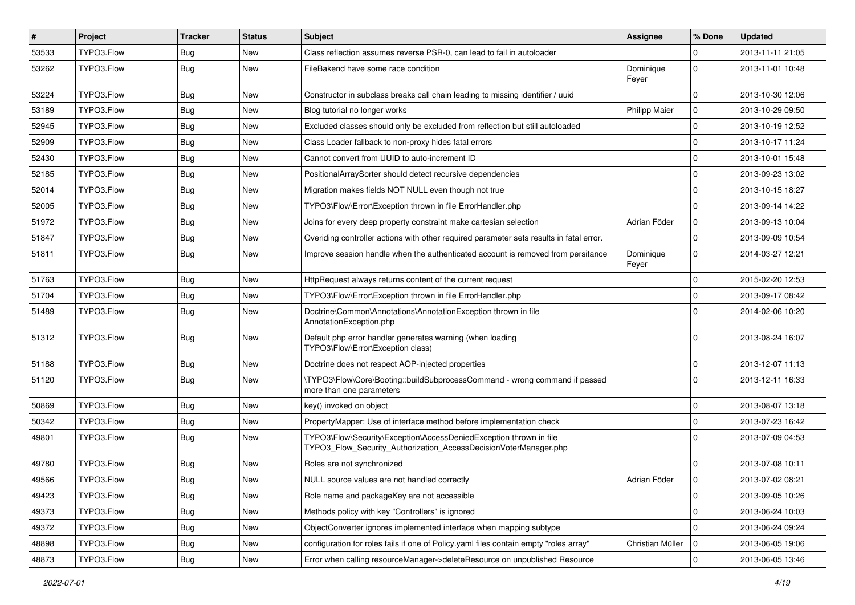| #     | Project    | <b>Tracker</b> | <b>Status</b> | Subject                                                                                                                                | <b>Assignee</b>      | % Done      | <b>Updated</b>   |
|-------|------------|----------------|---------------|----------------------------------------------------------------------------------------------------------------------------------------|----------------------|-------------|------------------|
| 53533 | TYPO3.Flow | Bug            | New           | Class reflection assumes reverse PSR-0, can lead to fail in autoloader                                                                 |                      | $\Omega$    | 2013-11-11 21:05 |
| 53262 | TYPO3.Flow | Bug            | New           | FileBakend have some race condition                                                                                                    | Dominique<br>Feyer   | $\mathbf 0$ | 2013-11-01 10:48 |
| 53224 | TYPO3.Flow | Bug            | New           | Constructor in subclass breaks call chain leading to missing identifier / uuid                                                         |                      | $\mathbf 0$ | 2013-10-30 12:06 |
| 53189 | TYPO3.Flow | <b>Bug</b>     | <b>New</b>    | Blog tutorial no longer works                                                                                                          | <b>Philipp Maier</b> | 0           | 2013-10-29 09:50 |
| 52945 | TYPO3.Flow | Bug            | New           | Excluded classes should only be excluded from reflection but still autoloaded                                                          |                      | $\mathbf 0$ | 2013-10-19 12:52 |
| 52909 | TYPO3.Flow | <b>Bug</b>     | New           | Class Loader fallback to non-proxy hides fatal errors                                                                                  |                      | $\mathbf 0$ | 2013-10-17 11:24 |
| 52430 | TYPO3.Flow | <b>Bug</b>     | New           | Cannot convert from UUID to auto-increment ID                                                                                          |                      | 0           | 2013-10-01 15:48 |
| 52185 | TYPO3.Flow | Bug            | New           | PositionalArraySorter should detect recursive dependencies                                                                             |                      | $\mathbf 0$ | 2013-09-23 13:02 |
| 52014 | TYPO3.Flow | Bug            | New           | Migration makes fields NOT NULL even though not true                                                                                   |                      | 0           | 2013-10-15 18:27 |
| 52005 | TYPO3.Flow | <b>Bug</b>     | New           | TYPO3\Flow\Error\Exception thrown in file ErrorHandler.php                                                                             |                      | $\mathbf 0$ | 2013-09-14 14:22 |
| 51972 | TYPO3.Flow | <b>Bug</b>     | New           | Joins for every deep property constraint make cartesian selection                                                                      | Adrian Föder         | 0           | 2013-09-13 10:04 |
| 51847 | TYPO3.Flow | <b>Bug</b>     | New           | Overiding controller actions with other required parameter sets results in fatal error.                                                |                      | $\mathbf 0$ | 2013-09-09 10:54 |
| 51811 | TYPO3.Flow | Bug            | New           | Improve session handle when the authenticated account is removed from persitance                                                       | Dominique<br>Feyer   | $\mathbf 0$ | 2014-03-27 12:21 |
| 51763 | TYPO3.Flow | Bug            | New           | HttpRequest always returns content of the current request                                                                              |                      | $\mathbf 0$ | 2015-02-20 12:53 |
| 51704 | TYPO3.Flow | Bug            | New           | TYPO3\Flow\Error\Exception thrown in file ErrorHandler.php                                                                             |                      | $\mathbf 0$ | 2013-09-17 08:42 |
| 51489 | TYPO3.Flow | Bug            | New           | Doctrine\Common\Annotations\AnnotationException thrown in file<br>AnnotationException.php                                              |                      | $\Omega$    | 2014-02-06 10:20 |
| 51312 | TYPO3.Flow | Bug            | New           | Default php error handler generates warning (when loading<br>TYPO3\Flow\Error\Exception class)                                         |                      | $\Omega$    | 2013-08-24 16:07 |
| 51188 | TYPO3.Flow | Bug            | New           | Doctrine does not respect AOP-injected properties                                                                                      |                      | $\mathbf 0$ | 2013-12-07 11:13 |
| 51120 | TYPO3.Flow | <b>Bug</b>     | New           | \TYPO3\Flow\Core\Booting::buildSubprocessCommand - wrong command if passed<br>more than one parameters                                 |                      | $\Omega$    | 2013-12-11 16:33 |
| 50869 | TYPO3.Flow | Bug            | <b>New</b>    | key() invoked on object                                                                                                                |                      | $\mathbf 0$ | 2013-08-07 13:18 |
| 50342 | TYPO3.Flow | Bug            | New           | PropertyMapper: Use of interface method before implementation check                                                                    |                      | 0           | 2013-07-23 16:42 |
| 49801 | TYPO3.Flow | Bug            | New           | TYPO3\Flow\Security\Exception\AccessDeniedException thrown in file<br>TYPO3_Flow_Security_Authorization_AccessDecisionVoterManager.php |                      | $\Omega$    | 2013-07-09 04:53 |
| 49780 | TYPO3.Flow | Bug            | <b>New</b>    | Roles are not synchronized                                                                                                             |                      | $\mathbf 0$ | 2013-07-08 10:11 |
| 49566 | TYPO3.Flow | Bug            | New           | NULL source values are not handled correctly                                                                                           | Adrian Föder         | $\mathbf 0$ | 2013-07-02 08:21 |
| 49423 | TYPO3.Flow | <b>Bug</b>     | New           | Role name and packageKey are not accessible                                                                                            |                      | 0           | 2013-09-05 10:26 |
| 49373 | TYPO3.Flow | <b>Bug</b>     | New           | Methods policy with key "Controllers" is ignored                                                                                       |                      | 0           | 2013-06-24 10:03 |
| 49372 | TYPO3.Flow | <b>Bug</b>     | New           | ObjectConverter ignores implemented interface when mapping subtype                                                                     |                      | 0           | 2013-06-24 09:24 |
| 48898 | TYPO3.Flow | <b>Bug</b>     | New           | configuration for roles fails if one of Policy.yaml files contain empty "roles array"                                                  | Christian Müller     | 0           | 2013-06-05 19:06 |
| 48873 | TYPO3.Flow | Bug            | New           | Error when calling resourceManager->deleteResource on unpublished Resource                                                             |                      | $\mathbf 0$ | 2013-06-05 13:46 |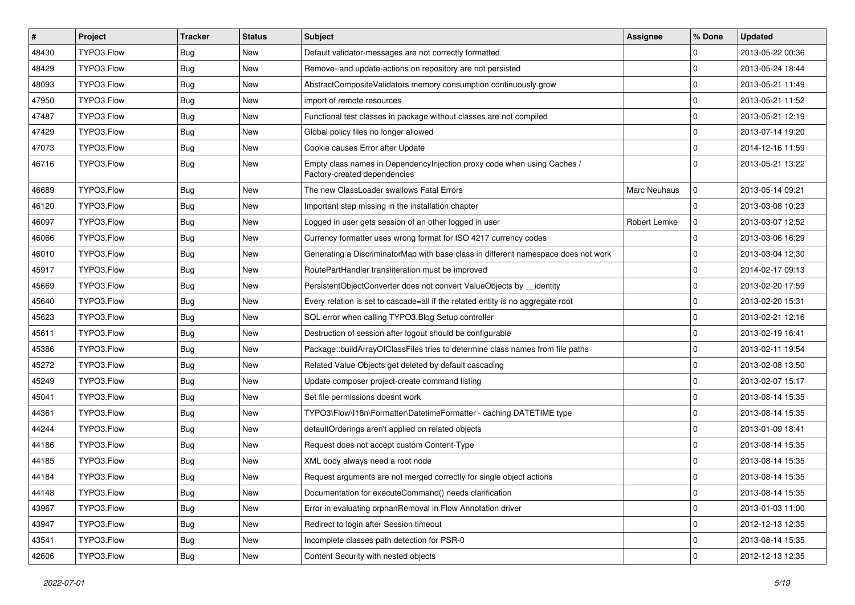| $\pmb{\#}$ | Project    | <b>Tracker</b> | <b>Status</b> | <b>Subject</b>                                                                                          | <b>Assignee</b>     | % Done      | <b>Updated</b>   |
|------------|------------|----------------|---------------|---------------------------------------------------------------------------------------------------------|---------------------|-------------|------------------|
| 48430      | TYPO3.Flow | Bug            | New           | Default validator-messages are not correctly formatted                                                  |                     | $\Omega$    | 2013-05-22 00:36 |
| 48429      | TYPO3.Flow | Bug            | <b>New</b>    | Remove- and update-actions on repository are not persisted                                              |                     | $\Omega$    | 2013-05-24 18:44 |
| 48093      | TYPO3.Flow | <b>Bug</b>     | New           | AbstractCompositeValidators memory consumption continuously grow                                        |                     | l 0         | 2013-05-21 11:49 |
| 47950      | TYPO3.Flow | <b>Bug</b>     | New           | import of remote resources                                                                              |                     | $\Omega$    | 2013-05-21 11:52 |
| 47487      | TYPO3.Flow | Bug            | New           | Functional test classes in package without classes are not compiled                                     |                     | $\Omega$    | 2013-05-21 12:19 |
| 47429      | TYPO3.Flow | <b>Bug</b>     | New           | Global policy files no longer allowed                                                                   |                     | $\mathbf 0$ | 2013-07-14 19:20 |
| 47073      | TYPO3.Flow | <b>Bug</b>     | New           | Cookie causes Error after Update                                                                        |                     | $\Omega$    | 2014-12-16 11:59 |
| 46716      | TYPO3.Flow | Bug            | New           | Empty class names in DependencyInjection proxy code when using Caches /<br>Factory-created dependencies |                     | $\Omega$    | 2013-05-21 13:22 |
| 46689      | TYPO3.Flow | Bug            | New           | The new ClassLoader swallows Fatal Errors                                                               | <b>Marc Neuhaus</b> | l 0         | 2013-05-14 09:21 |
| 46120      | TYPO3.Flow | <b>Bug</b>     | New           | Important step missing in the installation chapter                                                      |                     | l 0         | 2013-03-08 10:23 |
| 46097      | TYPO3.Flow | Bug            | New           | Logged in user gets session of an other logged in user                                                  | Robert Lemke        | l 0         | 2013-03-07 12:52 |
| 46066      | TYPO3.Flow | Bug            | New           | Currency formatter uses wrong format for ISO 4217 currency codes                                        |                     | $\mathbf 0$ | 2013-03-06 16:29 |
| 46010      | TYPO3.Flow | <b>Bug</b>     | New           | Generating a DiscriminatorMap with base class in different namespace does not work                      |                     | $\mathbf 0$ | 2013-03-04 12:30 |
| 45917      | TYPO3.Flow | <b>Bug</b>     | New           | RoutePartHandler transliteration must be improved                                                       |                     | $\Omega$    | 2014-02-17 09:13 |
| 45669      | TYPO3.Flow | <b>Bug</b>     | New           | PersistentObjectConverter does not convert ValueObjects by identity                                     |                     | l 0         | 2013-02-20 17:59 |
| 45640      | TYPO3.Flow | <b>Bug</b>     | New           | Every relation is set to cascade=all if the related entity is no aggregate root                         |                     | l 0         | 2013-02-20 15:31 |
| 45623      | TYPO3.Flow | Bug            | New           | SQL error when calling TYPO3.Blog Setup controller                                                      |                     | $\Omega$    | 2013-02-21 12:16 |
| 45611      | TYPO3.Flow | <b>Bug</b>     | New           | Destruction of session after logout should be configurable                                              |                     | $\mathbf 0$ | 2013-02-19 16:41 |
| 45386      | TYPO3.Flow | Bug            | New           | Package::buildArrayOfClassFiles tries to determine class names from file paths                          |                     | $\Omega$    | 2013-02-11 19:54 |
| 45272      | TYPO3.Flow | <b>Bug</b>     | New           | Related Value Objects get deleted by default cascading                                                  |                     | l 0         | 2013-02-08 13:50 |
| 45249      | TYPO3.Flow | <b>Bug</b>     | New           | Update composer project-create command listing                                                          |                     | $\mathbf 0$ | 2013-02-07 15:17 |
| 45041      | TYPO3.Flow | Bug            | New           | Set file permissions doesnt work                                                                        |                     | $\mathbf 0$ | 2013-08-14 15:35 |
| 44361      | TYPO3.Flow | <b>Bug</b>     | New           | TYPO3\Flow\I18n\Formatter\DatetimeFormatter - caching DATETIME type                                     |                     | l 0         | 2013-08-14 15:35 |
| 44244      | TYPO3.Flow | <b>Bug</b>     | New           | defaultOrderings aren't applied on related objects                                                      |                     | l 0         | 2013-01-09 18:41 |
| 44186      | TYPO3.Flow | Bug            | New           | Request does not accept custom Content-Type                                                             |                     | $\mathbf 0$ | 2013-08-14 15:35 |
| 44185      | TYPO3.Flow | <b>Bug</b>     | New           | XML body always need a root node                                                                        |                     | l 0         | 2013-08-14 15:35 |
| 44184      | TYPO3.Flow | <b>Bug</b>     | New           | Request arguments are not merged correctly for single object actions                                    |                     | l 0         | 2013-08-14 15:35 |
| 44148      | TYPO3.Flow | Bug            | New           | Documentation for executeCommand() needs clarification                                                  |                     | l 0         | 2013-08-14 15:35 |
| 43967      | TYPO3.Flow | Bug            | New           | Error in evaluating orphanRemoval in Flow Annotation driver                                             |                     | 0           | 2013-01-03 11:00 |
| 43947      | TYPO3.Flow | <b>Bug</b>     | New           | Redirect to login after Session timeout                                                                 |                     | 0           | 2012-12-13 12:35 |
| 43541      | TYPO3.Flow | <b>Bug</b>     | New           | Incomplete classes path detection for PSR-0                                                             |                     | 0           | 2013-08-14 15:35 |
| 42606      | TYPO3.Flow | Bug            | New           | Content Security with nested objects                                                                    |                     | 0           | 2012-12-13 12:35 |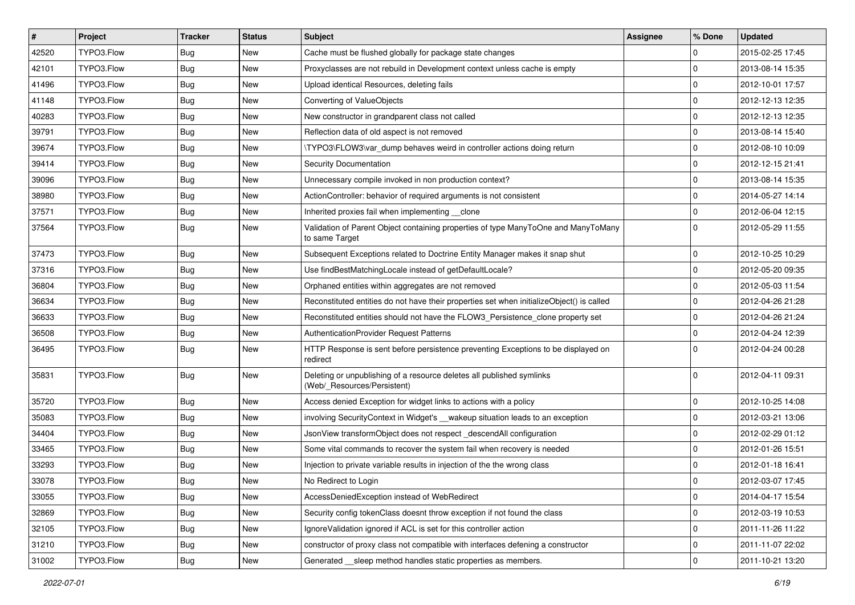| $\vert$ # | Project    | <b>Tracker</b> | <b>Status</b> | Subject                                                                                              | <b>Assignee</b> | % Done      | <b>Updated</b>   |
|-----------|------------|----------------|---------------|------------------------------------------------------------------------------------------------------|-----------------|-------------|------------------|
| 42520     | TYPO3.Flow | <b>Bug</b>     | New           | Cache must be flushed globally for package state changes                                             |                 | 0           | 2015-02-25 17:45 |
| 42101     | TYPO3.Flow | <b>Bug</b>     | New           | Proxyclasses are not rebuild in Development context unless cache is empty                            |                 | $\mathbf 0$ | 2013-08-14 15:35 |
| 41496     | TYPO3.Flow | <b>Bug</b>     | New           | Upload identical Resources, deleting fails                                                           |                 | 0           | 2012-10-01 17:57 |
| 41148     | TYPO3.Flow | Bug            | New           | Converting of ValueObjects                                                                           |                 | $\mathbf 0$ | 2012-12-13 12:35 |
| 40283     | TYPO3.Flow | Bug            | New           | New constructor in grandparent class not called                                                      |                 | 0           | 2012-12-13 12:35 |
| 39791     | TYPO3.Flow | <b>Bug</b>     | New           | Reflection data of old aspect is not removed                                                         |                 | $\mathbf 0$ | 2013-08-14 15:40 |
| 39674     | TYPO3.Flow | Bug            | New           | \TYPO3\FLOW3\var dump behaves weird in controller actions doing return                               |                 | 0           | 2012-08-10 10:09 |
| 39414     | TYPO3.Flow | Bug            | New           | Security Documentation                                                                               |                 | $\mathbf 0$ | 2012-12-15 21:41 |
| 39096     | TYPO3.Flow | Bug            | New           | Unnecessary compile invoked in non production context?                                               |                 | $\mathbf 0$ | 2013-08-14 15:35 |
| 38980     | TYPO3.Flow | <b>Bug</b>     | New           | ActionController: behavior of required arguments is not consistent                                   |                 | $\mathbf 0$ | 2014-05-27 14:14 |
| 37571     | TYPO3.Flow | <b>Bug</b>     | New           | Inherited proxies fail when implementing clone                                                       |                 | $\mathbf 0$ | 2012-06-04 12:15 |
| 37564     | TYPO3.Flow | Bug            | New           | Validation of Parent Object containing properties of type ManyToOne and ManyToMany<br>to same Target |                 | $\mathbf 0$ | 2012-05-29 11:55 |
| 37473     | TYPO3.Flow | Bug            | New           | Subsequent Exceptions related to Doctrine Entity Manager makes it snap shut                          |                 | $\mathbf 0$ | 2012-10-25 10:29 |
| 37316     | TYPO3.Flow | <b>Bug</b>     | New           | Use findBestMatchingLocale instead of getDefaultLocale?                                              |                 | $\mathbf 0$ | 2012-05-20 09:35 |
| 36804     | TYPO3.Flow | <b>Bug</b>     | New           | Orphaned entities within aggregates are not removed                                                  |                 | 0           | 2012-05-03 11:54 |
| 36634     | TYPO3.Flow | <b>Bug</b>     | New           | Reconstituted entities do not have their properties set when initializeObject() is called            |                 | $\mathbf 0$ | 2012-04-26 21:28 |
| 36633     | TYPO3.Flow | <b>Bug</b>     | New           | Reconstituted entities should not have the FLOW3_Persistence_clone property set                      |                 | 0           | 2012-04-26 21:24 |
| 36508     | TYPO3.Flow | <b>Bug</b>     | New           | <b>AuthenticationProvider Request Patterns</b>                                                       |                 | $\mathbf 0$ | 2012-04-24 12:39 |
| 36495     | TYPO3.Flow | Bug            | New           | HTTP Response is sent before persistence preventing Exceptions to be displayed on<br>redirect        |                 | $\Omega$    | 2012-04-24 00:28 |
| 35831     | TYPO3.Flow | Bug            | New           | Deleting or unpublishing of a resource deletes all published symlinks<br>(Web/_Resources/Persistent) |                 | $\Omega$    | 2012-04-11 09:31 |
| 35720     | TYPO3.Flow | <b>Bug</b>     | New           | Access denied Exception for widget links to actions with a policy                                    |                 | 0           | 2012-10-25 14:08 |
| 35083     | TYPO3.Flow | Bug            | New           | involving SecurityContext in Widget's __wakeup situation leads to an exception                       |                 | $\mathbf 0$ | 2012-03-21 13:06 |
| 34404     | TYPO3.Flow | <b>Bug</b>     | New           | JsonView transformObject does not respect_descendAll configuration                                   |                 | 0           | 2012-02-29 01:12 |
| 33465     | TYPO3.Flow | <b>Bug</b>     | New           | Some vital commands to recover the system fail when recovery is needed                               |                 | $\mathbf 0$ | 2012-01-26 15:51 |
| 33293     | TYPO3.Flow | <b>Bug</b>     | New           | Injection to private variable results in injection of the the wrong class                            |                 | $\mathbf 0$ | 2012-01-18 16:41 |
| 33078     | TYPO3.Flow | Bug            | New           | No Redirect to Login                                                                                 |                 | 0           | 2012-03-07 17:45 |
| 33055     | TYPO3.Flow | <b>Bug</b>     | New           | AccessDeniedException instead of WebRedirect                                                         |                 | $\mathbf 0$ | 2014-04-17 15:54 |
| 32869     | TYPO3.Flow | <b>Bug</b>     | New           | Security config tokenClass doesnt throw exception if not found the class                             |                 | $\mathbf 0$ | 2012-03-19 10:53 |
| 32105     | TYPO3.Flow | <b>Bug</b>     | New           | IgnoreValidation ignored if ACL is set for this controller action                                    |                 | $\mathbf 0$ | 2011-11-26 11:22 |
| 31210     | TYPO3.Flow | Bug            | New           | constructor of proxy class not compatible with interfaces defening a constructor                     |                 | 0           | 2011-11-07 22:02 |
| 31002     | TYPO3.Flow | Bug            | New           | Generated __sleep method handles static properties as members.                                       |                 | $\mathbf 0$ | 2011-10-21 13:20 |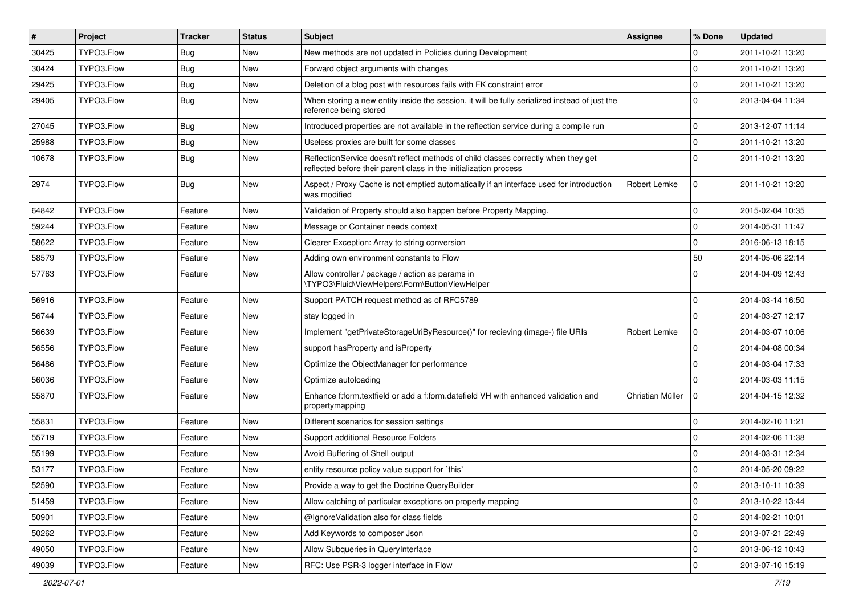| #     | Project    | <b>Tracker</b> | <b>Status</b> | Subject                                                                                                                                                 | <b>Assignee</b>  | % Done       | <b>Updated</b>   |
|-------|------------|----------------|---------------|---------------------------------------------------------------------------------------------------------------------------------------------------------|------------------|--------------|------------------|
| 30425 | TYPO3.Flow | <b>Bug</b>     | New           | New methods are not updated in Policies during Development                                                                                              |                  | 0            | 2011-10-21 13:20 |
| 30424 | TYPO3.Flow | <b>Bug</b>     | New           | Forward object arguments with changes                                                                                                                   |                  | $\mathbf 0$  | 2011-10-21 13:20 |
| 29425 | TYPO3.Flow | <b>Bug</b>     | New           | Deletion of a blog post with resources fails with FK constraint error                                                                                   |                  | $\mathbf 0$  | 2011-10-21 13:20 |
| 29405 | TYPO3.Flow | <b>Bug</b>     | New           | When storing a new entity inside the session, it will be fully serialized instead of just the<br>reference being stored                                 |                  | $\mathbf 0$  | 2013-04-04 11:34 |
| 27045 | TYPO3.Flow | <b>Bug</b>     | New           | Introduced properties are not available in the reflection service during a compile run                                                                  |                  | $\mathbf 0$  | 2013-12-07 11:14 |
| 25988 | TYPO3.Flow | <b>Bug</b>     | New           | Useless proxies are built for some classes                                                                                                              |                  | $\mathbf 0$  | 2011-10-21 13:20 |
| 10678 | TYPO3.Flow | Bug            | New           | ReflectionService doesn't reflect methods of child classes correctly when they get<br>reflected before their parent class in the initialization process |                  | $\Omega$     | 2011-10-21 13:20 |
| 2974  | TYPO3.Flow | Bug            | New           | Aspect / Proxy Cache is not emptied automatically if an interface used for introduction<br>was modified                                                 | Robert Lemke     | $\mathbf 0$  | 2011-10-21 13:20 |
| 64842 | TYPO3.Flow | Feature        | New           | Validation of Property should also happen before Property Mapping.                                                                                      |                  | $\mathbf 0$  | 2015-02-04 10:35 |
| 59244 | TYPO3.Flow | Feature        | New           | Message or Container needs context                                                                                                                      |                  | 0            | 2014-05-31 11:47 |
| 58622 | TYPO3.Flow | Feature        | New           | Clearer Exception: Array to string conversion                                                                                                           |                  | $\mathbf 0$  | 2016-06-13 18:15 |
| 58579 | TYPO3.Flow | Feature        | New           | Adding own environment constants to Flow                                                                                                                |                  | 50           | 2014-05-06 22:14 |
| 57763 | TYPO3.Flow | Feature        | New           | Allow controller / package / action as params in<br>\TYPO3\Fluid\ViewHelpers\Form\ButtonViewHelper                                                      |                  | 0            | 2014-04-09 12:43 |
| 56916 | TYPO3.Flow | Feature        | <b>New</b>    | Support PATCH request method as of RFC5789                                                                                                              |                  | $\mathbf{0}$ | 2014-03-14 16:50 |
| 56744 | TYPO3.Flow | Feature        | New           | stay logged in                                                                                                                                          |                  | $\mathbf 0$  | 2014-03-27 12:17 |
| 56639 | TYPO3.Flow | Feature        | New           | Implement "getPrivateStorageUriByResource()" for recieving (image-) file URIs                                                                           | Robert Lemke     | $\mathbf 0$  | 2014-03-07 10:06 |
| 56556 | TYPO3.Flow | Feature        | <b>New</b>    | support has Property and is Property                                                                                                                    |                  | 0            | 2014-04-08 00:34 |
| 56486 | TYPO3.Flow | Feature        | New           | Optimize the ObjectManager for performance                                                                                                              |                  | $\mathbf 0$  | 2014-03-04 17:33 |
| 56036 | TYPO3.Flow | Feature        | New           | Optimize autoloading                                                                                                                                    |                  | $\Omega$     | 2014-03-03 11:15 |
| 55870 | TYPO3.Flow | Feature        | New           | Enhance f:form.textfield or add a f:form.datefield VH with enhanced validation and<br>propertymapping                                                   | Christian Müller | $\mathbf 0$  | 2014-04-15 12:32 |
| 55831 | TYPO3.Flow | Feature        | New           | Different scenarios for session settings                                                                                                                |                  | $\mathbf 0$  | 2014-02-10 11:21 |
| 55719 | TYPO3.Flow | Feature        | New           | Support additional Resource Folders                                                                                                                     |                  | $\mathbf 0$  | 2014-02-06 11:38 |
| 55199 | TYPO3.Flow | Feature        | New           | Avoid Buffering of Shell output                                                                                                                         |                  | $\mathbf 0$  | 2014-03-31 12:34 |
| 53177 | TYPO3.Flow | Feature        | New           | entity resource policy value support for `this`                                                                                                         |                  | 0            | 2014-05-20 09:22 |
| 52590 | TYPO3.Flow | Feature        | New           | Provide a way to get the Doctrine QueryBuilder                                                                                                          |                  | 0            | 2013-10-11 10:39 |
| 51459 | TYPO3.Flow | Feature        | New           | Allow catching of particular exceptions on property mapping                                                                                             |                  | $\mathsf{O}$ | 2013-10-22 13:44 |
| 50901 | TYPO3.Flow | Feature        | New           | @IgnoreValidation also for class fields                                                                                                                 |                  | $\mathbf 0$  | 2014-02-21 10:01 |
| 50262 | TYPO3.Flow | Feature        | New           | Add Keywords to composer Json                                                                                                                           |                  | $\mathsf{O}$ | 2013-07-21 22:49 |
| 49050 | TYPO3.Flow | Feature        | New           | Allow Subqueries in QueryInterface                                                                                                                      |                  | 0            | 2013-06-12 10:43 |
| 49039 | TYPO3.Flow | Feature        | New           | RFC: Use PSR-3 logger interface in Flow                                                                                                                 |                  | $\pmb{0}$    | 2013-07-10 15:19 |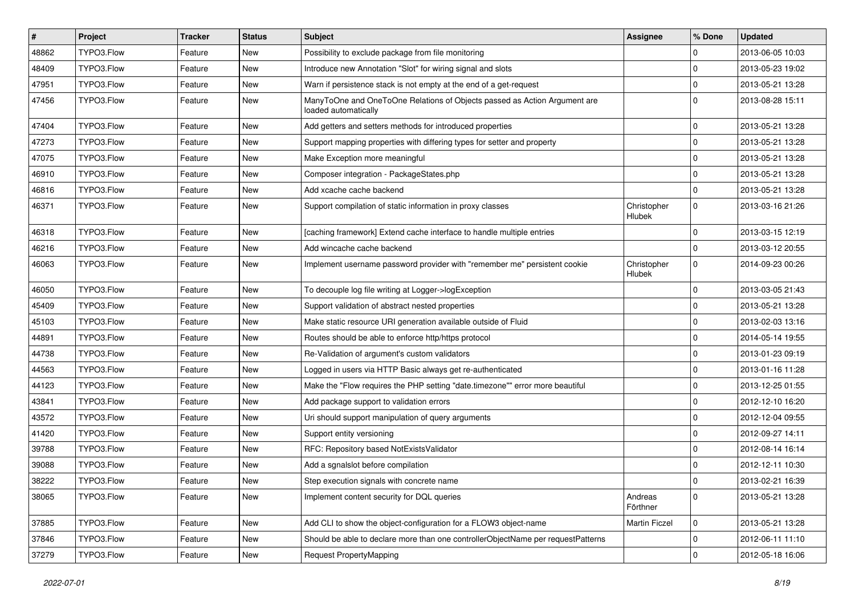| $\vert$ # | Project    | <b>Tracker</b> | <b>Status</b> | <b>Subject</b>                                                                                    | <b>Assignee</b>       | % Done      | <b>Updated</b>   |
|-----------|------------|----------------|---------------|---------------------------------------------------------------------------------------------------|-----------------------|-------------|------------------|
| 48862     | TYPO3.Flow | Feature        | New           | Possibility to exclude package from file monitoring                                               |                       | 0           | 2013-06-05 10:03 |
| 48409     | TYPO3.Flow | Feature        | New           | Introduce new Annotation "Slot" for wiring signal and slots                                       |                       | 0           | 2013-05-23 19:02 |
| 47951     | TYPO3.Flow | Feature        | New           | Warn if persistence stack is not empty at the end of a get-request                                |                       | 0           | 2013-05-21 13:28 |
| 47456     | TYPO3.Flow | Feature        | New           | ManyToOne and OneToOne Relations of Objects passed as Action Argument are<br>loaded automatically |                       | 0           | 2013-08-28 15:11 |
| 47404     | TYPO3.Flow | Feature        | New           | Add getters and setters methods for introduced properties                                         |                       | 0           | 2013-05-21 13:28 |
| 47273     | TYPO3.Flow | Feature        | <b>New</b>    | Support mapping properties with differing types for setter and property                           |                       | 0           | 2013-05-21 13:28 |
| 47075     | TYPO3.Flow | Feature        | New           | Make Exception more meaningful                                                                    |                       | 0           | 2013-05-21 13:28 |
| 46910     | TYPO3.Flow | Feature        | New           | Composer integration - PackageStates.php                                                          |                       | 0           | 2013-05-21 13:28 |
| 46816     | TYPO3.Flow | Feature        | New           | Add xcache cache backend                                                                          |                       | 0           | 2013-05-21 13:28 |
| 46371     | TYPO3.Flow | Feature        | New           | Support compilation of static information in proxy classes                                        | Christopher<br>Hlubek | 0           | 2013-03-16 21:26 |
| 46318     | TYPO3.Flow | Feature        | New           | [caching framework] Extend cache interface to handle multiple entries                             |                       | 0           | 2013-03-15 12:19 |
| 46216     | TYPO3.Flow | Feature        | New           | Add wincache cache backend                                                                        |                       | 0           | 2013-03-12 20:55 |
| 46063     | TYPO3.Flow | Feature        | New           | Implement username password provider with "remember me" persistent cookie                         | Christopher<br>Hlubek | 0           | 2014-09-23 00:26 |
| 46050     | TYPO3.Flow | Feature        | New           | To decouple log file writing at Logger->logException                                              |                       | 0           | 2013-03-05 21:43 |
| 45409     | TYPO3.Flow | Feature        | New           | Support validation of abstract nested properties                                                  |                       | 0           | 2013-05-21 13:28 |
| 45103     | TYPO3.Flow | Feature        | New           | Make static resource URI generation available outside of Fluid                                    |                       | 0           | 2013-02-03 13:16 |
| 44891     | TYPO3.Flow | Feature        | New           | Routes should be able to enforce http/https protocol                                              |                       | 0           | 2014-05-14 19:55 |
| 44738     | TYPO3.Flow | Feature        | New           | Re-Validation of argument's custom validators                                                     |                       | $\mathbf 0$ | 2013-01-23 09:19 |
| 44563     | TYPO3.Flow | Feature        | New           | Logged in users via HTTP Basic always get re-authenticated                                        |                       | 0           | 2013-01-16 11:28 |
| 44123     | TYPO3.Flow | Feature        | New           | Make the "Flow requires the PHP setting "date.timezone"" error more beautiful                     |                       | 0           | 2013-12-25 01:55 |
| 43841     | TYPO3.Flow | Feature        | New           | Add package support to validation errors                                                          |                       | 0           | 2012-12-10 16:20 |
| 43572     | TYPO3.Flow | Feature        | New           | Uri should support manipulation of query arguments                                                |                       | 0           | 2012-12-04 09:55 |
| 41420     | TYPO3.Flow | Feature        | New           | Support entity versioning                                                                         |                       | $\mathbf 0$ | 2012-09-27 14:11 |
| 39788     | TYPO3.Flow | Feature        | New           | RFC: Repository based NotExistsValidator                                                          |                       | 0           | 2012-08-14 16:14 |
| 39088     | TYPO3.Flow | Feature        | New           | Add a sqnalslot before compilation                                                                |                       | 0           | 2012-12-11 10:30 |
| 38222     | TYPO3.Flow | Feature        | New           | Step execution signals with concrete name                                                         |                       | 0           | 2013-02-21 16:39 |
| 38065     | TYPO3.Flow | Feature        | New           | Implement content security for DQL queries                                                        | Andreas<br>Förthner   | 0           | 2013-05-21 13:28 |
| 37885     | TYPO3.Flow | Feature        | New           | Add CLI to show the object-configuration for a FLOW3 object-name                                  | <b>Martin Ficzel</b>  | 0           | 2013-05-21 13:28 |
| 37846     | TYPO3.Flow | Feature        | New           | Should be able to declare more than one controllerObjectName per requestPatterns                  |                       | $\mathbf 0$ | 2012-06-11 11:10 |
| 37279     | TYPO3.Flow | Feature        | New           | Request PropertyMapping                                                                           |                       | 0           | 2012-05-18 16:06 |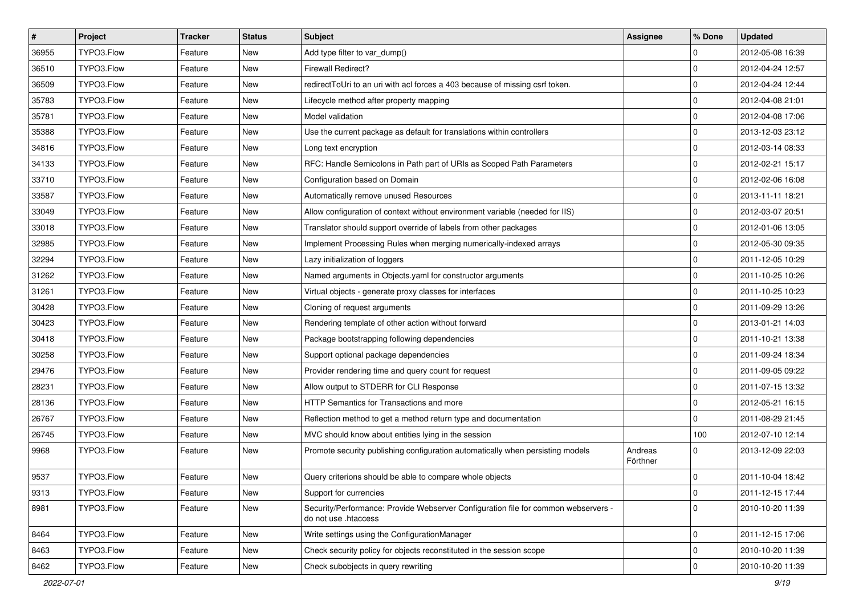| $\vert$ # | Project    | <b>Tracker</b> | <b>Status</b> | Subject                                                                                                    | <b>Assignee</b>     | % Done              | <b>Updated</b>   |
|-----------|------------|----------------|---------------|------------------------------------------------------------------------------------------------------------|---------------------|---------------------|------------------|
| 36955     | TYPO3.Flow | Feature        | New           | Add type filter to var_dump()                                                                              |                     | $\mathbf 0$         | 2012-05-08 16:39 |
| 36510     | TYPO3.Flow | Feature        | New           | Firewall Redirect?                                                                                         |                     | 0                   | 2012-04-24 12:57 |
| 36509     | TYPO3.Flow | Feature        | New           | redirectToUri to an uri with acl forces a 403 because of missing csrf token.                               |                     | $\mathbf 0$         | 2012-04-24 12:44 |
| 35783     | TYPO3.Flow | Feature        | New           | Lifecycle method after property mapping                                                                    |                     | $\mathbf 0$         | 2012-04-08 21:01 |
| 35781     | TYPO3.Flow | Feature        | <b>New</b>    | Model validation                                                                                           |                     | 0                   | 2012-04-08 17:06 |
| 35388     | TYPO3.Flow | Feature        | New           | Use the current package as default for translations within controllers                                     |                     | 0                   | 2013-12-03 23:12 |
| 34816     | TYPO3.Flow | Feature        | New           | Long text encryption                                                                                       |                     | $\mathbf 0$         | 2012-03-14 08:33 |
| 34133     | TYPO3.Flow | Feature        | New           | RFC: Handle Semicolons in Path part of URIs as Scoped Path Parameters                                      |                     | $\mathbf 0$         | 2012-02-21 15:17 |
| 33710     | TYPO3.Flow | Feature        | New           | Configuration based on Domain                                                                              |                     | $\pmb{0}$           | 2012-02-06 16:08 |
| 33587     | TYPO3.Flow | Feature        | New           | Automatically remove unused Resources                                                                      |                     | $\mathbf 0$         | 2013-11-11 18:21 |
| 33049     | TYPO3.Flow | Feature        | New           | Allow configuration of context without environment variable (needed for IIS)                               |                     | 0                   | 2012-03-07 20:51 |
| 33018     | TYPO3.Flow | Feature        | New           | Translator should support override of labels from other packages                                           |                     | $\mathbf 0$         | 2012-01-06 13:05 |
| 32985     | TYPO3.Flow | Feature        | New           | Implement Processing Rules when merging numerically-indexed arrays                                         |                     | $\mathbf 0$         | 2012-05-30 09:35 |
| 32294     | TYPO3.Flow | Feature        | New           | Lazy initialization of loggers                                                                             |                     | 0                   | 2011-12-05 10:29 |
| 31262     | TYPO3.Flow | Feature        | New           | Named arguments in Objects.yaml for constructor arguments                                                  |                     | 0                   | 2011-10-25 10:26 |
| 31261     | TYPO3.Flow | Feature        | New           | Virtual objects - generate proxy classes for interfaces                                                    |                     | $\mathbf 0$         | 2011-10-25 10:23 |
| 30428     | TYPO3.Flow | Feature        | New           | Cloning of request arguments                                                                               |                     | $\mathbf 0$         | 2011-09-29 13:26 |
| 30423     | TYPO3.Flow | Feature        | New           | Rendering template of other action without forward                                                         |                     | $\mathbf 0$         | 2013-01-21 14:03 |
| 30418     | TYPO3.Flow | Feature        | New           | Package bootstrapping following dependencies                                                               |                     | 0                   | 2011-10-21 13:38 |
| 30258     | TYPO3.Flow | Feature        | New           | Support optional package dependencies                                                                      |                     | 0                   | 2011-09-24 18:34 |
| 29476     | TYPO3.Flow | Feature        | New           | Provider rendering time and query count for request                                                        |                     | 0                   | 2011-09-05 09:22 |
| 28231     | TYPO3.Flow | Feature        | New           | Allow output to STDERR for CLI Response                                                                    |                     | $\mathbf 0$         | 2011-07-15 13:32 |
| 28136     | TYPO3.Flow | Feature        | New           | HTTP Semantics for Transactions and more                                                                   |                     | 0                   | 2012-05-21 16:15 |
| 26767     | TYPO3.Flow | Feature        | New           | Reflection method to get a method return type and documentation                                            |                     | 0                   | 2011-08-29 21:45 |
| 26745     | TYPO3.Flow | Feature        | New           | MVC should know about entities lying in the session                                                        |                     | 100                 | 2012-07-10 12:14 |
| 9968      | TYPO3.Flow | Feature        | New           | Promote security publishing configuration automatically when persisting models                             | Andreas<br>Förthner | 0                   | 2013-12-09 22:03 |
| 9537      | TYPO3.Flow | Feature        | New           | Query criterions should be able to compare whole objects                                                   |                     | 0                   | 2011-10-04 18:42 |
| 9313      | TYPO3.Flow | Feature        | New           | Support for currencies                                                                                     |                     | $\mathsf{O}\xspace$ | 2011-12-15 17:44 |
| 8981      | TYPO3.Flow | Feature        | New           | Security/Performance: Provide Webserver Configuration file for common webservers -<br>do not use .htaccess |                     | $\mathbf 0$         | 2010-10-20 11:39 |
| 8464      | TYPO3.Flow | Feature        | New           | Write settings using the ConfigurationManager                                                              |                     | 0                   | 2011-12-15 17:06 |
| 8463      | TYPO3.Flow | Feature        | New           | Check security policy for objects reconstituted in the session scope                                       |                     | $\mathsf{O}\xspace$ | 2010-10-20 11:39 |
| 8462      | TYPO3.Flow | Feature        | New           | Check subobjects in query rewriting                                                                        |                     | $\mathbf 0$         | 2010-10-20 11:39 |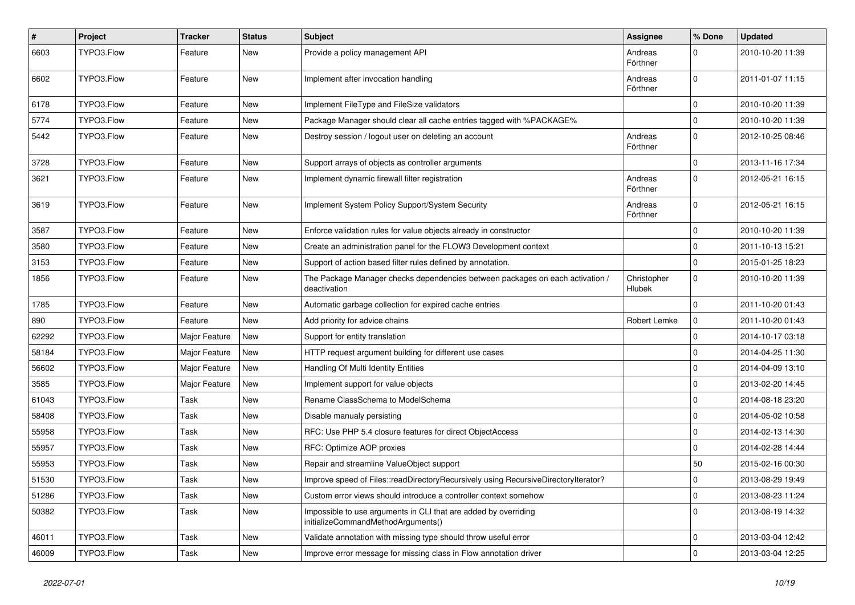| $\pmb{\#}$ | Project    | <b>Tracker</b> | <b>Status</b> | Subject                                                                                               | Assignee                     | % Done       | <b>Updated</b>   |
|------------|------------|----------------|---------------|-------------------------------------------------------------------------------------------------------|------------------------------|--------------|------------------|
| 6603       | TYPO3.Flow | Feature        | New           | Provide a policy management API                                                                       | Andreas<br>Förthner          | $\Omega$     | 2010-10-20 11:39 |
| 6602       | TYPO3.Flow | Feature        | New           | Implement after invocation handling                                                                   | Andreas<br>Förthner          | $\mathbf{0}$ | 2011-01-07 11:15 |
| 6178       | TYPO3.Flow | Feature        | New           | Implement FileType and FileSize validators                                                            |                              | $\mathbf 0$  | 2010-10-20 11:39 |
| 5774       | TYPO3.Flow | Feature        | New           | Package Manager should clear all cache entries tagged with %PACKAGE%                                  |                              | l 0          | 2010-10-20 11:39 |
| 5442       | TYPO3.Flow | Feature        | New           | Destroy session / logout user on deleting an account                                                  | Andreas<br>Förthner          | $\Omega$     | 2012-10-25 08:46 |
| 3728       | TYPO3.Flow | Feature        | New           | Support arrays of objects as controller arguments                                                     |                              | $\mathbf 0$  | 2013-11-16 17:34 |
| 3621       | TYPO3.Flow | Feature        | New           | Implement dynamic firewall filter registration                                                        | Andreas<br>Förthner          | $\Omega$     | 2012-05-21 16:15 |
| 3619       | TYPO3.Flow | Feature        | New           | Implement System Policy Support/System Security                                                       | Andreas<br>Förthner          | $\Omega$     | 2012-05-21 16:15 |
| 3587       | TYPO3.Flow | Feature        | New           | Enforce validation rules for value objects already in constructor                                     |                              | $\mathbf 0$  | 2010-10-20 11:39 |
| 3580       | TYPO3.Flow | Feature        | New           | Create an administration panel for the FLOW3 Development context                                      |                              | l 0          | 2011-10-13 15:21 |
| 3153       | TYPO3.Flow | Feature        | New           | Support of action based filter rules defined by annotation.                                           |                              | l 0          | 2015-01-25 18:23 |
| 1856       | TYPO3.Flow | Feature        | New           | The Package Manager checks dependencies between packages on each activation /<br>deactivation         | Christopher<br><b>Hlubek</b> | $\mathbf 0$  | 2010-10-20 11:39 |
| 1785       | TYPO3.Flow | Feature        | New           | Automatic garbage collection for expired cache entries                                                |                              | l 0          | 2011-10-20 01:43 |
| 890        | TYPO3.Flow | Feature        | New           | Add priority for advice chains                                                                        | Robert Lemke                 | 0            | 2011-10-20 01:43 |
| 62292      | TYPO3.Flow | Major Feature  | New           | Support for entity translation                                                                        |                              | $\Omega$     | 2014-10-17 03:18 |
| 58184      | TYPO3.Flow | Major Feature  | New           | HTTP request argument building for different use cases                                                |                              | $\mathbf 0$  | 2014-04-25 11:30 |
| 56602      | TYPO3.Flow | Major Feature  | New           | Handling Of Multi Identity Entities                                                                   |                              | $\Omega$     | 2014-04-09 13:10 |
| 3585       | TYPO3.Flow | Major Feature  | New           | Implement support for value objects                                                                   |                              | l 0          | 2013-02-20 14:45 |
| 61043      | TYPO3.Flow | Task           | New           | Rename ClassSchema to ModelSchema                                                                     |                              | $\mathbf 0$  | 2014-08-18 23:20 |
| 58408      | TYPO3.Flow | Task           | New           | Disable manualy persisting                                                                            |                              | $\Omega$     | 2014-05-02 10:58 |
| 55958      | TYPO3.Flow | Task           | New           | RFC: Use PHP 5.4 closure features for direct ObjectAccess                                             |                              | $\mathbf 0$  | 2014-02-13 14:30 |
| 55957      | TYPO3.Flow | Task           | New           | RFC: Optimize AOP proxies                                                                             |                              | $\Omega$     | 2014-02-28 14:44 |
| 55953      | TYPO3.Flow | Task           | New           | Repair and streamline ValueObject support                                                             |                              | 50           | 2015-02-16 00:30 |
| 51530      | TYPO3.Flow | Task           | New           | Improve speed of Files::readDirectoryRecursively using RecursiveDirectoryIterator?                    |                              | 0            | 2013-08-29 19:49 |
| 51286      | TYPO3.Flow | Task           | New           | Custom error views should introduce a controller context somehow                                      |                              | l 0          | 2013-08-23 11:24 |
| 50382      | TYPO3.Flow | Task           | New           | Impossible to use arguments in CLI that are added by overriding<br>initializeCommandMethodArguments() |                              | 0            | 2013-08-19 14:32 |
| 46011      | TYPO3.Flow | Task           | New           | Validate annotation with missing type should throw useful error                                       |                              | $\mathbf 0$  | 2013-03-04 12:42 |
| 46009      | TYPO3.Flow | Task           | New           | Improve error message for missing class in Flow annotation driver                                     |                              | 0            | 2013-03-04 12:25 |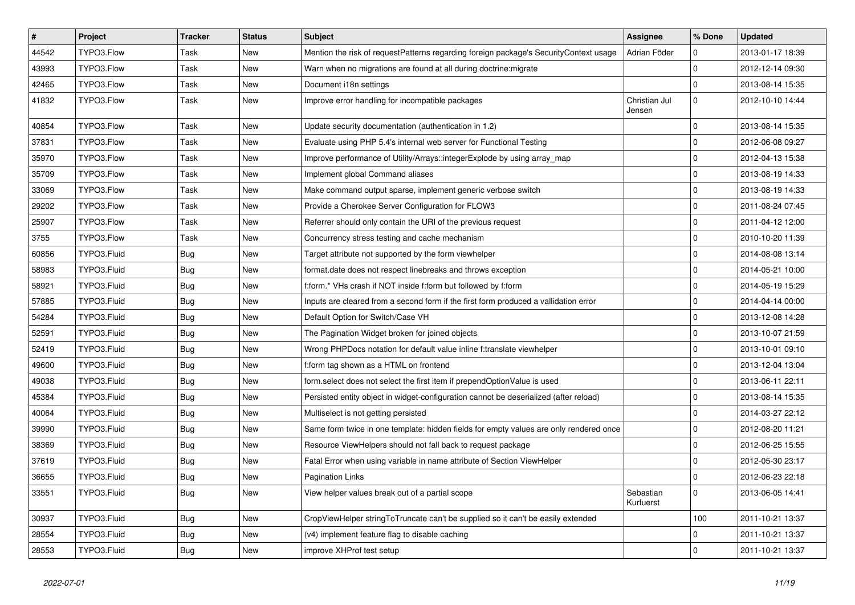| $\sharp$ | Project     | <b>Tracker</b> | <b>Status</b> | <b>Subject</b>                                                                         | <b>Assignee</b>         | % Done       | <b>Updated</b>   |
|----------|-------------|----------------|---------------|----------------------------------------------------------------------------------------|-------------------------|--------------|------------------|
| 44542    | TYPO3.Flow  | Task           | New           | Mention the risk of requestPatterns regarding foreign package's SecurityContext usage  | Adrian Föder            | $\mathbf 0$  | 2013-01-17 18:39 |
| 43993    | TYPO3.Flow  | Task           | <b>New</b>    | Warn when no migrations are found at all during doctrine: migrate                      |                         | $\Omega$     | 2012-12-14 09:30 |
| 42465    | TYPO3.Flow  | Task           | New           | Document i18n settings                                                                 |                         | $\mathbf 0$  | 2013-08-14 15:35 |
| 41832    | TYPO3.Flow  | Task           | New           | Improve error handling for incompatible packages                                       | Christian Jul<br>Jensen | $\mathbf 0$  | 2012-10-10 14:44 |
| 40854    | TYPO3.Flow  | Task           | New           | Update security documentation (authentication in 1.2)                                  |                         | $\mathbf 0$  | 2013-08-14 15:35 |
| 37831    | TYPO3.Flow  | Task           | New           | Evaluate using PHP 5.4's internal web server for Functional Testing                    |                         | $\mathbf 0$  | 2012-06-08 09:27 |
| 35970    | TYPO3.Flow  | Task           | New           | Improve performance of Utility/Arrays::integerExplode by using array_map               |                         | $\mathbf 0$  | 2012-04-13 15:38 |
| 35709    | TYPO3.Flow  | Task           | New           | Implement global Command aliases                                                       |                         | $\mathbf 0$  | 2013-08-19 14:33 |
| 33069    | TYPO3.Flow  | Task           | New           | Make command output sparse, implement generic verbose switch                           |                         | $\mathbf 0$  | 2013-08-19 14:33 |
| 29202    | TYPO3.Flow  | Task           | New           | Provide a Cherokee Server Configuration for FLOW3                                      |                         | $\mathbf{0}$ | 2011-08-24 07:45 |
| 25907    | TYPO3.Flow  | Task           | New           | Referrer should only contain the URI of the previous request                           |                         | $\mathbf 0$  | 2011-04-12 12:00 |
| 3755     | TYPO3.Flow  | Task           | New           | Concurrency stress testing and cache mechanism                                         |                         | $\mathbf 0$  | 2010-10-20 11:39 |
| 60856    | TYPO3.Fluid | Bug            | New           | Target attribute not supported by the form viewhelper                                  |                         | 0            | 2014-08-08 13:14 |
| 58983    | TYPO3.Fluid | <b>Bug</b>     | New           | format date does not respect linebreaks and throws exception                           |                         | $\mathbf 0$  | 2014-05-21 10:00 |
| 58921    | TYPO3.Fluid | <b>Bug</b>     | New           | f:form.* VHs crash if NOT inside f:form but followed by f:form                         |                         | $\mathbf 0$  | 2014-05-19 15:29 |
| 57885    | TYPO3.Fluid | Bug            | New           | Inputs are cleared from a second form if the first form produced a vallidation error   |                         | $\mathbf 0$  | 2014-04-14 00:00 |
| 54284    | TYPO3.Fluid | Bug            | New           | Default Option for Switch/Case VH                                                      |                         | $\mathbf 0$  | 2013-12-08 14:28 |
| 52591    | TYPO3.Fluid | Bug            | New           | The Pagination Widget broken for joined objects                                        |                         | $\mathbf{0}$ | 2013-10-07 21:59 |
| 52419    | TYPO3.Fluid | <b>Bug</b>     | New           | Wrong PHPDocs notation for default value inline f:translate viewhelper                 |                         | 0            | 2013-10-01 09:10 |
| 49600    | TYPO3.Fluid | Bug            | New           | f:form tag shown as a HTML on frontend                                                 |                         | $\mathbf 0$  | 2013-12-04 13:04 |
| 49038    | TYPO3.Fluid | Bug            | New           | form.select does not select the first item if prependOptionValue is used               |                         | $\mathbf 0$  | 2013-06-11 22:11 |
| 45384    | TYPO3.Fluid | Bug            | New           | Persisted entity object in widget-configuration cannot be deserialized (after reload)  |                         | $\mathbf 0$  | 2013-08-14 15:35 |
| 40064    | TYPO3.Fluid | Bug            | New           | Multiselect is not getting persisted                                                   |                         | $\mathbf 0$  | 2014-03-27 22:12 |
| 39990    | TYPO3.Fluid | Bug            | New           | Same form twice in one template: hidden fields for empty values are only rendered once |                         | $\mathbf 0$  | 2012-08-20 11:21 |
| 38369    | TYPO3.Fluid | Bug            | New           | Resource ViewHelpers should not fall back to request package                           |                         | $\pmb{0}$    | 2012-06-25 15:55 |
| 37619    | TYPO3.Fluid | Bug            | New           | Fatal Error when using variable in name attribute of Section ViewHelper                |                         | $\mathbf 0$  | 2012-05-30 23:17 |
| 36655    | TYPO3.Fluid | <b>Bug</b>     | New           | <b>Pagination Links</b>                                                                |                         | $\mathbf 0$  | 2012-06-23 22:18 |
| 33551    | TYPO3.Fluid | <b>Bug</b>     | New           | View helper values break out of a partial scope                                        | Sebastian<br>Kurfuerst  | $\Omega$     | 2013-06-05 14:41 |
| 30937    | TYPO3.Fluid | <b>Bug</b>     | <b>New</b>    | CropViewHelper stringToTruncate can't be supplied so it can't be easily extended       |                         | 100          | 2011-10-21 13:37 |
| 28554    | TYPO3.Fluid | Bug            | New           | (v4) implement feature flag to disable caching                                         |                         | $\mathbf 0$  | 2011-10-21 13:37 |
| 28553    | TYPO3.Fluid | <b>Bug</b>     | New           | improve XHProf test setup                                                              |                         | $\Omega$     | 2011-10-21 13:37 |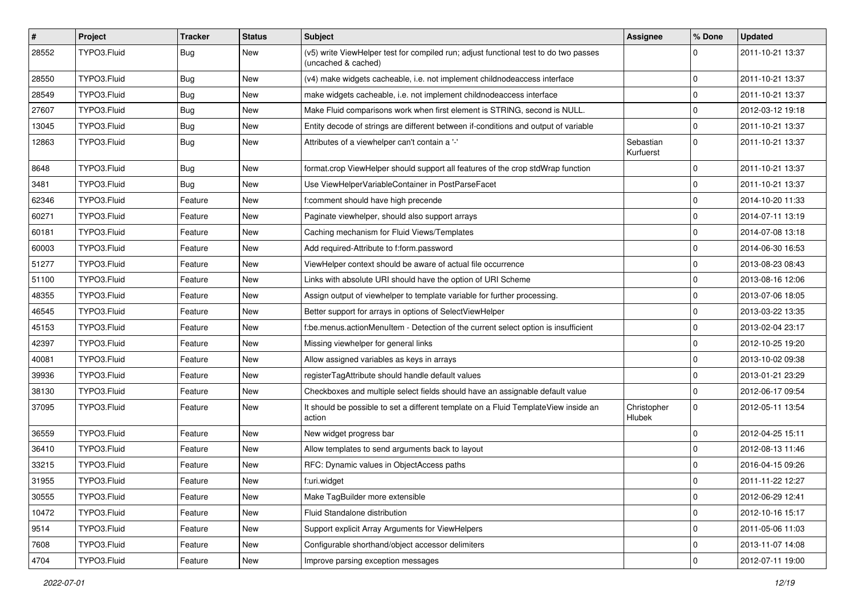| #     | Project     | <b>Tracker</b> | <b>Status</b> | Subject                                                                                                     | <b>Assignee</b>        | % Done      | <b>Updated</b>   |
|-------|-------------|----------------|---------------|-------------------------------------------------------------------------------------------------------------|------------------------|-------------|------------------|
| 28552 | TYPO3.Fluid | Bug            | New           | (v5) write ViewHelper test for compiled run; adjust functional test to do two passes<br>(uncached & cached) |                        | 0           | 2011-10-21 13:37 |
| 28550 | TYPO3.Fluid | Bug            | New           | (v4) make widgets cacheable, i.e. not implement childnodeaccess interface                                   |                        | 0           | 2011-10-21 13:37 |
| 28549 | TYPO3.Fluid | Bug            | New           | make widgets cacheable, i.e. not implement childnodeaccess interface                                        |                        | $\mathbf 0$ | 2011-10-21 13:37 |
| 27607 | TYPO3.Fluid | <b>Bug</b>     | New           | Make Fluid comparisons work when first element is STRING, second is NULL.                                   |                        | 0           | 2012-03-12 19:18 |
| 13045 | TYPO3.Fluid | <b>Bug</b>     | New           | Entity decode of strings are different between if-conditions and output of variable                         |                        | $\mathbf 0$ | 2011-10-21 13:37 |
| 12863 | TYPO3.Fluid | Bug            | New           | Attributes of a viewhelper can't contain a '-'                                                              | Sebastian<br>Kurfuerst | $\mathbf 0$ | 2011-10-21 13:37 |
| 8648  | TYPO3.Fluid | Bug            | New           | format.crop ViewHelper should support all features of the crop stdWrap function                             |                        | $\mathbf 0$ | 2011-10-21 13:37 |
| 3481  | TYPO3.Fluid | Bug            | New           | Use ViewHelperVariableContainer in PostParseFacet                                                           |                        | $\mathbf 0$ | 2011-10-21 13:37 |
| 62346 | TYPO3.Fluid | Feature        | New           | f:comment should have high precende                                                                         |                        | 0           | 2014-10-20 11:33 |
| 60271 | TYPO3.Fluid | Feature        | New           | Paginate viewhelper, should also support arrays                                                             |                        | $\mathbf 0$ | 2014-07-11 13:19 |
| 60181 | TYPO3.Fluid | Feature        | New           | Caching mechanism for Fluid Views/Templates                                                                 |                        | 0           | 2014-07-08 13:18 |
| 60003 | TYPO3.Fluid | Feature        | New           | Add required-Attribute to f:form.password                                                                   |                        | 0           | 2014-06-30 16:53 |
| 51277 | TYPO3.Fluid | Feature        | New           | ViewHelper context should be aware of actual file occurrence                                                |                        | $\mathbf 0$ | 2013-08-23 08:43 |
| 51100 | TYPO3.Fluid | Feature        | New           | Links with absolute URI should have the option of URI Scheme                                                |                        | 0           | 2013-08-16 12:06 |
| 48355 | TYPO3.Fluid | Feature        | New           | Assign output of viewhelper to template variable for further processing.                                    |                        | $\mathbf 0$ | 2013-07-06 18:05 |
| 46545 | TYPO3.Fluid | Feature        | New           | Better support for arrays in options of SelectViewHelper                                                    |                        | 0           | 2013-03-22 13:35 |
| 45153 | TYPO3.Fluid | Feature        | New           | f:be.menus.actionMenuItem - Detection of the current select option is insufficient                          |                        | $\mathbf 0$ | 2013-02-04 23:17 |
| 42397 | TYPO3.Fluid | Feature        | New           | Missing viewhelper for general links                                                                        |                        | 0           | 2012-10-25 19:20 |
| 40081 | TYPO3.Fluid | Feature        | New           | Allow assigned variables as keys in arrays                                                                  |                        | $\mathbf 0$ | 2013-10-02 09:38 |
| 39936 | TYPO3.Fluid | Feature        | New           | registerTagAttribute should handle default values                                                           |                        | $\mathbf 0$ | 2013-01-21 23:29 |
| 38130 | TYPO3.Fluid | Feature        | New           | Checkboxes and multiple select fields should have an assignable default value                               |                        | 0           | 2012-06-17 09:54 |
| 37095 | TYPO3.Fluid | Feature        | New           | It should be possible to set a different template on a Fluid TemplateView inside an<br>action               | Christopher<br>Hlubek  | $\mathbf 0$ | 2012-05-11 13:54 |
| 36559 | TYPO3.Fluid | Feature        | <b>New</b>    | New widget progress bar                                                                                     |                        | 0           | 2012-04-25 15:11 |
| 36410 | TYPO3.Fluid | Feature        | New           | Allow templates to send arguments back to layout                                                            |                        | $\mathbf 0$ | 2012-08-13 11:46 |
| 33215 | TYPO3.Fluid | Feature        | New           | RFC: Dynamic values in ObjectAccess paths                                                                   |                        | $\mathbf 0$ | 2016-04-15 09:26 |
| 31955 | TYPO3.Fluid | Feature        | New           | f:uri.widget                                                                                                |                        | 0           | 2011-11-22 12:27 |
| 30555 | TYPO3.Fluid | Feature        | New           | Make TagBuilder more extensible                                                                             |                        | $\mathbf 0$ | 2012-06-29 12:41 |
| 10472 | TYPO3.Fluid | Feature        | New           | Fluid Standalone distribution                                                                               |                        | $\mathbf 0$ | 2012-10-16 15:17 |
| 9514  | TYPO3.Fluid | Feature        | New           | Support explicit Array Arguments for ViewHelpers                                                            |                        | $\mathbf 0$ | 2011-05-06 11:03 |
| 7608  | TYPO3.Fluid | Feature        | New           | Configurable shorthand/object accessor delimiters                                                           |                        | $\mathbf 0$ | 2013-11-07 14:08 |
| 4704  | TYPO3.Fluid | Feature        | New           | Improve parsing exception messages                                                                          |                        | $\mathbf 0$ | 2012-07-11 19:00 |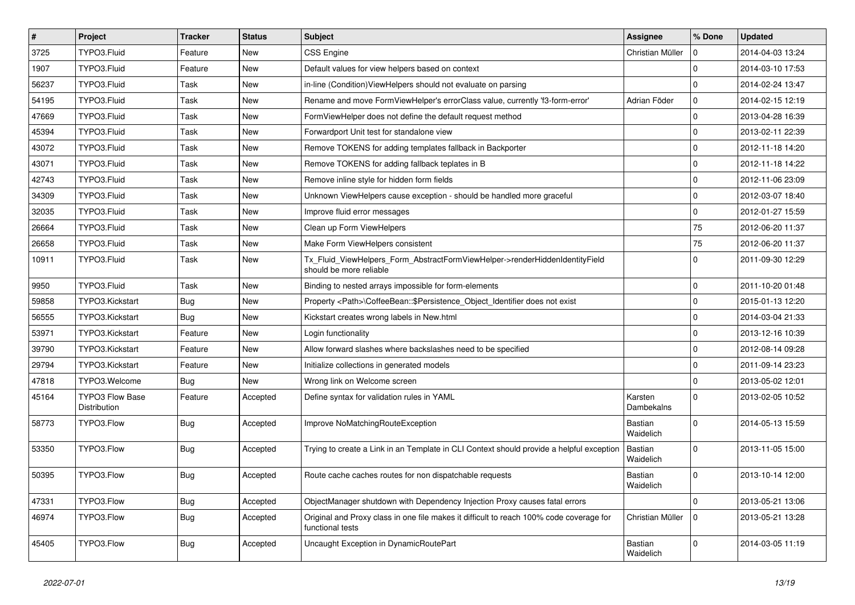| $\pmb{\#}$ | Project                                | <b>Tracker</b> | <b>Status</b> | <b>Subject</b>                                                                                              | Assignee              | % Done      | <b>Updated</b>   |
|------------|----------------------------------------|----------------|---------------|-------------------------------------------------------------------------------------------------------------|-----------------------|-------------|------------------|
| 3725       | TYPO3.Fluid                            | Feature        | New           | <b>CSS Engine</b>                                                                                           | Christian Müller      | $\Omega$    | 2014-04-03 13:24 |
| 1907       | TYPO3.Fluid                            | Feature        | <b>New</b>    | Default values for view helpers based on context                                                            |                       | $\Omega$    | 2014-03-10 17:53 |
| 56237      | TYPO3.Fluid                            | Task           | New           | in-line (Condition) View Helpers should not evaluate on parsing                                             |                       | l 0         | 2014-02-24 13:47 |
| 54195      | TYPO3.Fluid                            | Task           | New           | Rename and move FormViewHelper's errorClass value, currently 'f3-form-error'                                | Adrian Föder          | $\mathbf 0$ | 2014-02-15 12:19 |
| 47669      | TYPO3.Fluid                            | Task           | New           | FormViewHelper does not define the default request method                                                   |                       | $\mathbf 0$ | 2013-04-28 16:39 |
| 45394      | TYPO3.Fluid                            | Task           | New           | Forwardport Unit test for standalone view                                                                   |                       | $\mathbf 0$ | 2013-02-11 22:39 |
| 43072      | TYPO3.Fluid                            | Task           | <b>New</b>    | Remove TOKENS for adding templates fallback in Backporter                                                   |                       | $\Omega$    | 2012-11-18 14:20 |
| 43071      | TYPO3.Fluid                            | Task           | New           | Remove TOKENS for adding fallback teplates in B                                                             |                       | l 0         | 2012-11-18 14:22 |
| 42743      | TYPO3.Fluid                            | Task           | New           | Remove inline style for hidden form fields                                                                  |                       | $\Omega$    | 2012-11-06 23:09 |
| 34309      | TYPO3.Fluid                            | Task           | <b>New</b>    | Unknown ViewHelpers cause exception - should be handled more graceful                                       |                       | $\Omega$    | 2012-03-07 18:40 |
| 32035      | TYPO3.Fluid                            | Task           | New           | Improve fluid error messages                                                                                |                       | $\mathbf 0$ | 2012-01-27 15:59 |
| 26664      | TYPO3.Fluid                            | Task           | New           | Clean up Form ViewHelpers                                                                                   |                       | 75          | 2012-06-20 11:37 |
| 26658      | TYPO3.Fluid                            | Task           | New           | Make Form ViewHelpers consistent                                                                            |                       | 75          | 2012-06-20 11:37 |
| 10911      | TYPO3.Fluid                            | Task           | New           | Tx_Fluid_ViewHelpers_Form_AbstractFormViewHelper->renderHiddenIdentityField<br>should be more reliable      |                       | $\Omega$    | 2011-09-30 12:29 |
| 9950       | TYPO3.Fluid                            | Task           | New           | Binding to nested arrays impossible for form-elements                                                       |                       | $\mathbf 0$ | 2011-10-20 01:48 |
| 59858      | TYPO3.Kickstart                        | <b>Bug</b>     | New           | Property <path>\CoffeeBean:: \$Persistence Object Identifier does not exist</path>                          |                       | l 0         | 2015-01-13 12:20 |
| 56555      | TYPO3.Kickstart                        | Bug            | <b>New</b>    | Kickstart creates wrong labels in New.html                                                                  |                       | $\Omega$    | 2014-03-04 21:33 |
| 53971      | TYPO3.Kickstart                        | Feature        | New           | Login functionality                                                                                         |                       | $\Omega$    | 2013-12-16 10:39 |
| 39790      | TYPO3.Kickstart                        | Feature        | New           | Allow forward slashes where backslashes need to be specified                                                |                       | $\Omega$    | 2012-08-14 09:28 |
| 29794      | TYPO3.Kickstart                        | Feature        | New           | Initialize collections in generated models                                                                  |                       | l 0         | 2011-09-14 23:23 |
| 47818      | TYPO3.Welcome                          | Bug            | New           | Wrong link on Welcome screen                                                                                |                       | $\mathbf 0$ | 2013-05-02 12:01 |
| 45164      | <b>TYPO3 Flow Base</b><br>Distribution | Feature        | Accepted      | Define syntax for validation rules in YAML                                                                  | Karsten<br>Dambekalns | $\Omega$    | 2013-02-05 10:52 |
| 58773      | TYPO3.Flow                             | Bug            | Accepted      | Improve NoMatchingRouteException                                                                            | Bastian<br>Waidelich  | $\Omega$    | 2014-05-13 15:59 |
| 53350      | TYPO3.Flow                             | Bug            | Accepted      | Trying to create a Link in an Template in CLI Context should provide a helpful exception                    | Bastian<br>Waidelich  | $\Omega$    | 2013-11-05 15:00 |
| 50395      | TYPO3.Flow                             | Bug            | Accepted      | Route cache caches routes for non dispatchable requests                                                     | Bastian<br>Waidelich  | $\mathbf 0$ | 2013-10-14 12:00 |
| 47331      | TYPO3.Flow                             | <b>Bug</b>     | Accepted      | ObjectManager shutdown with Dependency Injection Proxy causes fatal errors                                  |                       | $\mathbf 0$ | 2013-05-21 13:06 |
| 46974      | TYPO3.Flow                             | Bug            | Accepted      | Original and Proxy class in one file makes it difficult to reach 100% code coverage for<br>functional tests | Christian Müller      | l 0         | 2013-05-21 13:28 |
| 45405      | TYPO3.Flow                             | Bug            | Accepted      | Uncaught Exception in DynamicRoutePart                                                                      | Bastian<br>Waidelich  | $\mathbf 0$ | 2014-03-05 11:19 |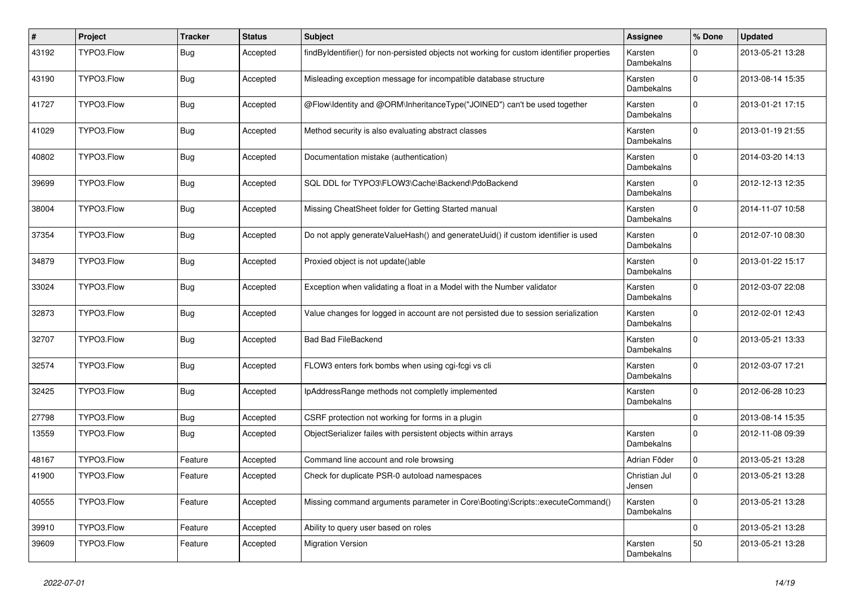| #     | Project    | <b>Tracker</b> | <b>Status</b> | Subject                                                                                   | <b>Assignee</b>              | % Done      | <b>Updated</b>   |
|-------|------------|----------------|---------------|-------------------------------------------------------------------------------------------|------------------------------|-------------|------------------|
| 43192 | TYPO3.Flow | <b>Bug</b>     | Accepted      | findByIdentifier() for non-persisted objects not working for custom identifier properties | Karsten<br>Dambekalns        | $\mathbf 0$ | 2013-05-21 13:28 |
| 43190 | TYPO3.Flow | Bug            | Accepted      | Misleading exception message for incompatible database structure                          | Karsten<br>Dambekalns        | $\mathbf 0$ | 2013-08-14 15:35 |
| 41727 | TYPO3.Flow | Bug            | Accepted      | @Flow\Identity and @ORM\InheritanceType("JOINED") can't be used together                  | Karsten<br>Dambekalns        | $\mathbf 0$ | 2013-01-21 17:15 |
| 41029 | TYPO3.Flow | Bug            | Accepted      | Method security is also evaluating abstract classes                                       | Karsten<br><b>Dambekalns</b> | $\Omega$    | 2013-01-19 21:55 |
| 40802 | TYPO3.Flow | <b>Bug</b>     | Accepted      | Documentation mistake (authentication)                                                    | Karsten<br>Dambekalns        | $\mathbf 0$ | 2014-03-20 14:13 |
| 39699 | TYPO3.Flow | Bug            | Accepted      | SQL DDL for TYPO3\FLOW3\Cache\Backend\PdoBackend                                          | Karsten<br>Dambekalns        | $\Omega$    | 2012-12-13 12:35 |
| 38004 | TYPO3.Flow | Bug            | Accepted      | Missing CheatSheet folder for Getting Started manual                                      | Karsten<br>Dambekalns        | $\Omega$    | 2014-11-07 10:58 |
| 37354 | TYPO3.Flow | <b>Bug</b>     | Accepted      | Do not apply generateValueHash() and generateUuid() if custom identifier is used          | Karsten<br>Dambekalns        | $\Omega$    | 2012-07-10 08:30 |
| 34879 | TYPO3.Flow | Bug            | Accepted      | Proxied object is not update()able                                                        | Karsten<br>Dambekalns        | $\mathbf 0$ | 2013-01-22 15:17 |
| 33024 | TYPO3.Flow | Bug            | Accepted      | Exception when validating a float in a Model with the Number validator                    | Karsten<br>Dambekalns        | $\mathbf 0$ | 2012-03-07 22:08 |
| 32873 | TYPO3.Flow | Bug            | Accepted      | Value changes for logged in account are not persisted due to session serialization        | Karsten<br>Dambekalns        | $\mathbf 0$ | 2012-02-01 12:43 |
| 32707 | TYPO3.Flow | Bug            | Accepted      | <b>Bad Bad FileBackend</b>                                                                | Karsten<br>Dambekalns        | $\Omega$    | 2013-05-21 13:33 |
| 32574 | TYPO3.Flow | Bug            | Accepted      | FLOW3 enters fork bombs when using cgi-fcgi vs cli                                        | Karsten<br>Dambekalns        | $\mathbf 0$ | 2012-03-07 17:21 |
| 32425 | TYPO3.Flow | <b>Bug</b>     | Accepted      | IpAddressRange methods not completly implemented                                          | Karsten<br>Dambekalns        | $\Omega$    | 2012-06-28 10:23 |
| 27798 | TYPO3.Flow | <b>Bug</b>     | Accepted      | CSRF protection not working for forms in a plugin                                         |                              | $\mathbf 0$ | 2013-08-14 15:35 |
| 13559 | TYPO3.Flow | Bug            | Accepted      | ObjectSerializer failes with persistent objects within arrays                             | Karsten<br>Dambekalns        | $\Omega$    | 2012-11-08 09:39 |
| 48167 | TYPO3.Flow | Feature        | Accepted      | Command line account and role browsing                                                    | Adrian Föder                 | $\mathbf 0$ | 2013-05-21 13:28 |
| 41900 | TYPO3.Flow | Feature        | Accepted      | Check for duplicate PSR-0 autoload namespaces                                             | Christian Jul<br>Jensen      | $\mathbf 0$ | 2013-05-21 13:28 |
| 40555 | TYPO3.Flow | Feature        | Accepted      | Missing command arguments parameter in Core\Booting\Scripts::executeCommand()             | Karsten<br>Dambekalns        | $\mathbf 0$ | 2013-05-21 13:28 |
| 39910 | TYPO3.Flow | Feature        | Accepted      | Ability to query user based on roles                                                      |                              | $\pmb{0}$   | 2013-05-21 13:28 |
| 39609 | TYPO3.Flow | Feature        | Accepted      | <b>Migration Version</b>                                                                  | Karsten<br>Dambekalns        | 50          | 2013-05-21 13:28 |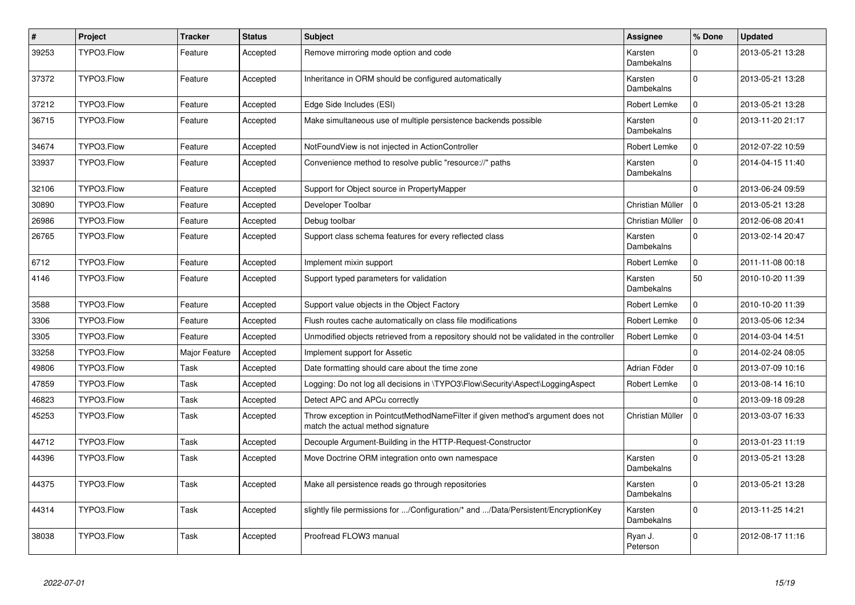| $\pmb{\#}$ | Project    | <b>Tracker</b> | <b>Status</b> | Subject                                                                                                              | Assignee                     | % Done              | <b>Updated</b>   |
|------------|------------|----------------|---------------|----------------------------------------------------------------------------------------------------------------------|------------------------------|---------------------|------------------|
| 39253      | TYPO3.Flow | Feature        | Accepted      | Remove mirroring mode option and code                                                                                | Karsten<br>Dambekalns        | $\Omega$            | 2013-05-21 13:28 |
| 37372      | TYPO3.Flow | Feature        | Accepted      | Inheritance in ORM should be configured automatically                                                                | Karsten<br><b>Dambekalns</b> | $\Omega$            | 2013-05-21 13:28 |
| 37212      | TYPO3.Flow | Feature        | Accepted      | Edge Side Includes (ESI)                                                                                             | Robert Lemke                 | $\Omega$            | 2013-05-21 13:28 |
| 36715      | TYPO3.Flow | Feature        | Accepted      | Make simultaneous use of multiple persistence backends possible                                                      | Karsten<br>Dambekalns        | $\Omega$            | 2013-11-20 21:17 |
| 34674      | TYPO3.Flow | Feature        | Accepted      | NotFoundView is not injected in ActionController                                                                     | Robert Lemke                 | $\mathbf 0$         | 2012-07-22 10:59 |
| 33937      | TYPO3.Flow | Feature        | Accepted      | Convenience method to resolve public "resource://" paths                                                             | Karsten<br>Dambekalns        | $\Omega$            | 2014-04-15 11:40 |
| 32106      | TYPO3.Flow | Feature        | Accepted      | Support for Object source in PropertyMapper                                                                          |                              | $\mathbf 0$         | 2013-06-24 09:59 |
| 30890      | TYPO3.Flow | Feature        | Accepted      | Developer Toolbar                                                                                                    | Christian Müller             | $\Omega$            | 2013-05-21 13:28 |
| 26986      | TYPO3.Flow | Feature        | Accepted      | Debug toolbar                                                                                                        | Christian Müller             | 0                   | 2012-06-08 20:41 |
| 26765      | TYPO3.Flow | Feature        | Accepted      | Support class schema features for every reflected class                                                              | Karsten<br>Dambekalns        | $\Omega$            | 2013-02-14 20:47 |
| 6712       | TYPO3.Flow | Feature        | Accepted      | Implement mixin support                                                                                              | Robert Lemke                 | $\Omega$            | 2011-11-08 00:18 |
| 4146       | TYPO3.Flow | Feature        | Accepted      | Support typed parameters for validation                                                                              | Karsten<br>Dambekalns        | 50                  | 2010-10-20 11:39 |
| 3588       | TYPO3.Flow | Feature        | Accepted      | Support value objects in the Object Factory                                                                          | Robert Lemke                 | $\mathbf{0}$        | 2010-10-20 11:39 |
| 3306       | TYPO3.Flow | Feature        | Accepted      | Flush routes cache automatically on class file modifications                                                         | Robert Lemke                 | $\Omega$            | 2013-05-06 12:34 |
| 3305       | TYPO3.Flow | Feature        | Accepted      | Unmodified objects retrieved from a repository should not be validated in the controller                             | Robert Lemke                 | $\mathbf 0$         | 2014-03-04 14:51 |
| 33258      | TYPO3.Flow | Major Feature  | Accepted      | Implement support for Assetic                                                                                        |                              | $\Omega$            | 2014-02-24 08:05 |
| 49806      | TYPO3.Flow | Task           | Accepted      | Date formatting should care about the time zone                                                                      | Adrian Föder                 | $\mathbf 0$         | 2013-07-09 10:16 |
| 47859      | TYPO3.Flow | Task           | Accepted      | Logging: Do not log all decisions in \TYPO3\Flow\Security\Aspect\LoggingAspect                                       | Robert Lemke                 | $\mathsf{O}\xspace$ | 2013-08-14 16:10 |
| 46823      | TYPO3.Flow | Task           | Accepted      | Detect APC and APCu correctly                                                                                        |                              | $\Omega$            | 2013-09-18 09:28 |
| 45253      | TYPO3.Flow | Task           | Accepted      | Throw exception in PointcutMethodNameFilter if given method's argument does not<br>match the actual method signature | Christian Müller             | $\mathbf 0$         | 2013-03-07 16:33 |
| 44712      | TYPO3.Flow | Task           | Accepted      | Decouple Argument-Building in the HTTP-Request-Constructor                                                           |                              | $\mathbf 0$         | 2013-01-23 11:19 |
| 44396      | TYPO3.Flow | Task           | Accepted      | Move Doctrine ORM integration onto own namespace                                                                     | Karsten<br>Dambekalns        | $\Omega$            | 2013-05-21 13:28 |
| 44375      | TYPO3.Flow | Task           | Accepted      | Make all persistence reads go through repositories                                                                   | Karsten<br>Dambekalns        | $\Omega$            | 2013-05-21 13:28 |
| 44314      | TYPO3.Flow | Task           | Accepted      | slightly file permissions for /Configuration/* and /Data/Persistent/EncryptionKey                                    | Karsten<br>Dambekalns        | $\Omega$            | 2013-11-25 14:21 |
| 38038      | TYPO3.Flow | Task           | Accepted      | Proofread FLOW3 manual                                                                                               | Ryan J.<br>Peterson          | $\Omega$            | 2012-08-17 11:16 |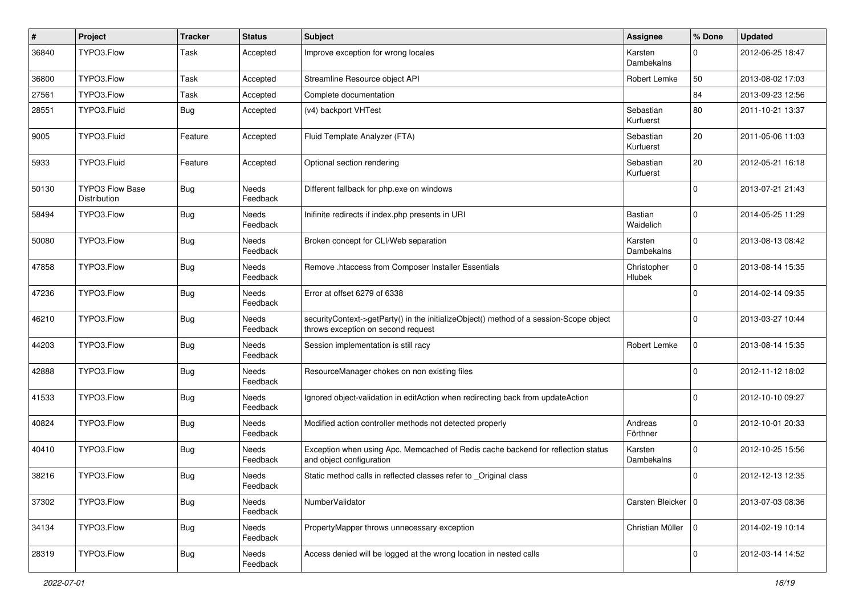| #     | Project                         | <b>Tracker</b> | <b>Status</b>     | Subject                                                                                                                      | <b>Assignee</b>        | % Done      | <b>Updated</b>   |
|-------|---------------------------------|----------------|-------------------|------------------------------------------------------------------------------------------------------------------------------|------------------------|-------------|------------------|
| 36840 | TYPO3.Flow                      | Task           | Accepted          | Improve exception for wrong locales                                                                                          | Karsten<br>Dambekalns  | 0           | 2012-06-25 18:47 |
| 36800 | TYPO3.Flow                      | Task           | Accepted          | Streamline Resource object API                                                                                               | Robert Lemke           | 50          | 2013-08-02 17:03 |
| 27561 | TYPO3.Flow                      | Task           | Accepted          | Complete documentation                                                                                                       |                        | 84          | 2013-09-23 12:56 |
| 28551 | TYPO3.Fluid                     | <b>Bug</b>     | Accepted          | (v4) backport VHTest                                                                                                         | Sebastian<br>Kurfuerst | 80          | 2011-10-21 13:37 |
| 9005  | TYPO3.Fluid                     | Feature        | Accepted          | Fluid Template Analyzer (FTA)                                                                                                | Sebastian<br>Kurfuerst | 20          | 2011-05-06 11:03 |
| 5933  | TYPO3.Fluid                     | Feature        | Accepted          | Optional section rendering                                                                                                   | Sebastian<br>Kurfuerst | 20          | 2012-05-21 16:18 |
| 50130 | TYPO3 Flow Base<br>Distribution | Bug            | Needs<br>Feedback | Different fallback for php.exe on windows                                                                                    |                        | $\mathbf 0$ | 2013-07-21 21:43 |
| 58494 | TYPO3.Flow                      | Bug            | Needs<br>Feedback | Inifinite redirects if index.php presents in URI                                                                             | Bastian<br>Waidelich   | $\mathbf 0$ | 2014-05-25 11:29 |
| 50080 | TYPO3.Flow                      | Bug            | Needs<br>Feedback | Broken concept for CLI/Web separation                                                                                        | Karsten<br>Dambekalns  | $\mathbf 0$ | 2013-08-13 08:42 |
| 47858 | TYPO3.Flow                      | <b>Bug</b>     | Needs<br>Feedback | Remove .htaccess from Composer Installer Essentials                                                                          | Christopher<br>Hlubek  | $\mathbf 0$ | 2013-08-14 15:35 |
| 47236 | TYPO3.Flow                      | <b>Bug</b>     | Needs<br>Feedback | Error at offset 6279 of 6338                                                                                                 |                        | $\Omega$    | 2014-02-14 09:35 |
| 46210 | TYPO3.Flow                      | <b>Bug</b>     | Needs<br>Feedback | securityContext->getParty() in the initializeObject() method of a session-Scope object<br>throws exception on second request |                        | $\Omega$    | 2013-03-27 10:44 |
| 44203 | TYPO3.Flow                      | <b>Bug</b>     | Needs<br>Feedback | Session implementation is still racy                                                                                         | Robert Lemke           | $\mathbf 0$ | 2013-08-14 15:35 |
| 42888 | TYPO3.Flow                      | Bug            | Needs<br>Feedback | ResourceManager chokes on non existing files                                                                                 |                        | $\mathbf 0$ | 2012-11-12 18:02 |
| 41533 | TYPO3.Flow                      | Bug            | Needs<br>Feedback | Ignored object-validation in editAction when redirecting back from updateAction                                              |                        | $\Omega$    | 2012-10-10 09:27 |
| 40824 | TYPO3.Flow                      | Bug            | Needs<br>Feedback | Modified action controller methods not detected properly                                                                     | Andreas<br>Förthner    | $\mathbf 0$ | 2012-10-01 20:33 |
| 40410 | TYPO3.Flow                      | Bug            | Needs<br>Feedback | Exception when using Apc, Memcached of Redis cache backend for reflection status<br>and object configuration                 | Karsten<br>Dambekalns  | $\Omega$    | 2012-10-25 15:56 |
| 38216 | TYPO3.Flow                      | Bug            | Needs<br>Feedback | Static method calls in reflected classes refer to Original class                                                             |                        | 0           | 2012-12-13 12:35 |
| 37302 | TYPO3.Flow                      | Bug            | Needs<br>Feedback | NumberValidator                                                                                                              | Carsten Bleicker   0   |             | 2013-07-03 08:36 |
| 34134 | TYPO3.Flow                      | <b>Bug</b>     | Needs<br>Feedback | PropertyMapper throws unnecessary exception                                                                                  | Christian Müller       | $\mathbf 0$ | 2014-02-19 10:14 |
| 28319 | TYPO3.Flow                      | Bug            | Needs<br>Feedback | Access denied will be logged at the wrong location in nested calls                                                           |                        | $\pmb{0}$   | 2012-03-14 14:52 |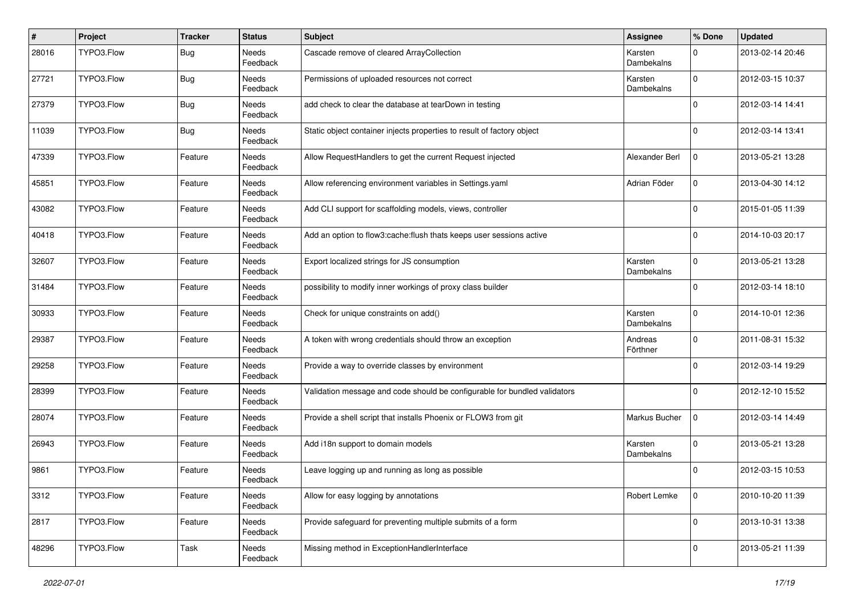| #     | Project    | <b>Tracker</b> | <b>Status</b>     | <b>Subject</b>                                                            | <b>Assignee</b>              | % Done      | <b>Updated</b>   |
|-------|------------|----------------|-------------------|---------------------------------------------------------------------------|------------------------------|-------------|------------------|
| 28016 | TYPO3.Flow | Bug            | Needs<br>Feedback | Cascade remove of cleared ArrayCollection                                 | Karsten<br>Dambekalns        | $\Omega$    | 2013-02-14 20:46 |
| 27721 | TYPO3.Flow | Bug            | Needs<br>Feedback | Permissions of uploaded resources not correct                             | Karsten<br>Dambekalns        | $\mathbf 0$ | 2012-03-15 10:37 |
| 27379 | TYPO3.Flow | Bug            | Needs<br>Feedback | add check to clear the database at tearDown in testing                    |                              | $\Omega$    | 2012-03-14 14:41 |
| 11039 | TYPO3.Flow | Bug            | Needs<br>Feedback | Static object container injects properties to result of factory object    |                              | $\Omega$    | 2012-03-14 13:41 |
| 47339 | TYPO3.Flow | Feature        | Needs<br>Feedback | Allow RequestHandlers to get the current Request injected                 | Alexander Berl               | $\Omega$    | 2013-05-21 13:28 |
| 45851 | TYPO3.Flow | Feature        | Needs<br>Feedback | Allow referencing environment variables in Settings.yaml                  | Adrian Föder                 | $\mathbf 0$ | 2013-04-30 14:12 |
| 43082 | TYPO3.Flow | Feature        | Needs<br>Feedback | Add CLI support for scaffolding models, views, controller                 |                              | $\Omega$    | 2015-01-05 11:39 |
| 40418 | TYPO3.Flow | Feature        | Needs<br>Feedback | Add an option to flow3:cache:flush thats keeps user sessions active       |                              | $\Omega$    | 2014-10-03 20:17 |
| 32607 | TYPO3.Flow | Feature        | Needs<br>Feedback | Export localized strings for JS consumption                               | Karsten<br>Dambekalns        | $\mathbf 0$ | 2013-05-21 13:28 |
| 31484 | TYPO3.Flow | Feature        | Needs<br>Feedback | possibility to modify inner workings of proxy class builder               |                              | $\Omega$    | 2012-03-14 18:10 |
| 30933 | TYPO3.Flow | Feature        | Needs<br>Feedback | Check for unique constraints on add()                                     | Karsten<br>Dambekalns        | $\Omega$    | 2014-10-01 12:36 |
| 29387 | TYPO3.Flow | Feature        | Needs<br>Feedback | A token with wrong credentials should throw an exception                  | Andreas<br>Förthner          | $\Omega$    | 2011-08-31 15:32 |
| 29258 | TYPO3.Flow | Feature        | Needs<br>Feedback | Provide a way to override classes by environment                          |                              | $\Omega$    | 2012-03-14 19:29 |
| 28399 | TYPO3.Flow | Feature        | Needs<br>Feedback | Validation message and code should be configurable for bundled validators |                              | $\Omega$    | 2012-12-10 15:52 |
| 28074 | TYPO3.Flow | Feature        | Needs<br>Feedback | Provide a shell script that installs Phoenix or FLOW3 from git            | Markus Bucher                | $\Omega$    | 2012-03-14 14:49 |
| 26943 | TYPO3.Flow | Feature        | Needs<br>Feedback | Add i18n support to domain models                                         | Karsten<br><b>Dambekalns</b> | $\mathbf 0$ | 2013-05-21 13:28 |
| 9861  | TYPO3.Flow | Feature        | Needs<br>Feedback | Leave logging up and running as long as possible                          |                              | $\Omega$    | 2012-03-15 10:53 |
| 3312  | TYPO3.Flow | Feature        | Needs<br>Feedback | Allow for easy logging by annotations                                     | Robert Lemke                 | $\mathbf 0$ | 2010-10-20 11:39 |
| 2817  | TYPO3.Flow | Feature        | Needs<br>Feedback | Provide safeguard for preventing multiple submits of a form               |                              | $\mathbf 0$ | 2013-10-31 13:38 |
| 48296 | TYPO3.Flow | Task           | Needs<br>Feedback | Missing method in ExceptionHandlerInterface                               |                              | 0           | 2013-05-21 11:39 |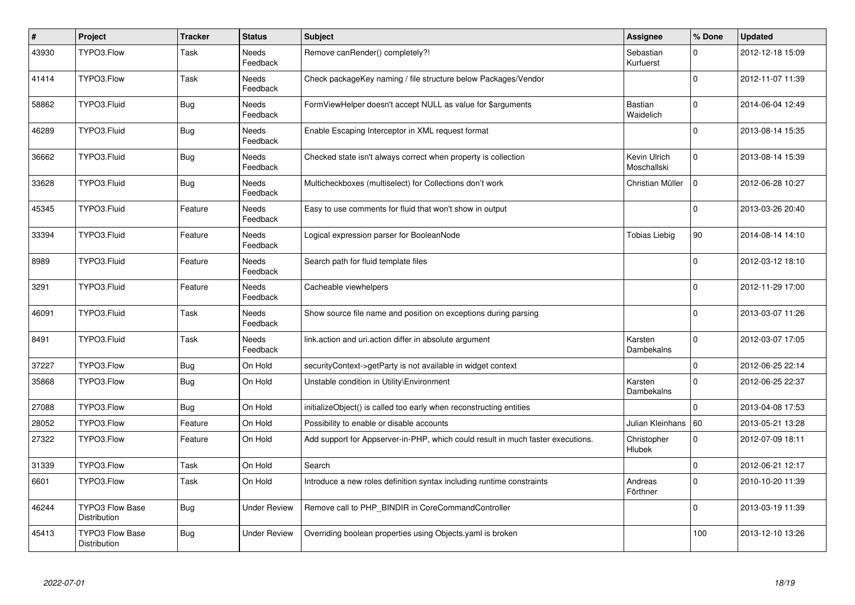| $\vert$ # | <b>Project</b>                         | <b>Tracker</b> | <b>Status</b>     | <b>Subject</b>                                                                  | <b>Assignee</b>             | % Done       | <b>Updated</b>   |
|-----------|----------------------------------------|----------------|-------------------|---------------------------------------------------------------------------------|-----------------------------|--------------|------------------|
| 43930     | TYPO3.Flow                             | Task           | Needs<br>Feedback | Remove canRender() completely?!                                                 | Sebastian<br>Kurfuerst      | $\Omega$     | 2012-12-18 15:09 |
| 41414     | TYPO3.Flow                             | Task           | Needs<br>Feedback | Check packageKey naming / file structure below Packages/Vendor                  |                             | $\Omega$     | 2012-11-07 11:39 |
| 58862     | TYPO3.Fluid                            | <b>Bug</b>     | Needs<br>Feedback | FormViewHelper doesn't accept NULL as value for \$arguments                     | Bastian<br>Waidelich        | $\Omega$     | 2014-06-04 12:49 |
| 46289     | TYPO3.Fluid                            | <b>Bug</b>     | Needs<br>Feedback | Enable Escaping Interceptor in XML request format                               |                             | $\Omega$     | 2013-08-14 15:35 |
| 36662     | TYPO3.Fluid                            | Bug            | Needs<br>Feedback | Checked state isn't always correct when property is collection                  | Kevin Ulrich<br>Moschallski | $\mathbf 0$  | 2013-08-14 15:39 |
| 33628     | TYPO3.Fluid                            | <b>Bug</b>     | Needs<br>Feedback | Multicheckboxes (multiselect) for Collections don't work                        | Christian Müller            | $\Omega$     | 2012-06-28 10:27 |
| 45345     | TYPO3.Fluid                            | Feature        | Needs<br>Feedback | Easy to use comments for fluid that won't show in output                        |                             | $\Omega$     | 2013-03-26 20:40 |
| 33394     | TYPO3.Fluid                            | Feature        | Needs<br>Feedback | Logical expression parser for BooleanNode                                       | <b>Tobias Liebig</b>        | 90           | 2014-08-14 14:10 |
| 8989      | TYPO3.Fluid                            | Feature        | Needs<br>Feedback | Search path for fluid template files                                            |                             | $\Omega$     | 2012-03-12 18:10 |
| 3291      | TYPO3.Fluid                            | Feature        | Needs<br>Feedback | Cacheable viewhelpers                                                           |                             | $\Omega$     | 2012-11-29 17:00 |
| 46091     | TYPO3.Fluid                            | Task           | Needs<br>Feedback | Show source file name and position on exceptions during parsing                 |                             | $\mathbf 0$  | 2013-03-07 11:26 |
| 8491      | TYPO3.Fluid                            | Task           | Needs<br>Feedback | link.action and uri.action differ in absolute argument                          | Karsten<br>Dambekalns       | $\mathsf{O}$ | 2012-03-07 17:05 |
| 37227     | TYPO3.Flow                             | <b>Bug</b>     | On Hold           | securityContext->getParty is not available in widget context                    |                             | $\mathsf{O}$ | 2012-06-25 22:14 |
| 35868     | TYPO3.Flow                             | <b>Bug</b>     | On Hold           | Unstable condition in Utility\Environment                                       | Karsten<br>Dambekalns       | $\mathbf 0$  | 2012-06-25 22:37 |
| 27088     | TYPO3.Flow                             | Bug            | On Hold           | initializeObject() is called too early when reconstructing entities             |                             | $\Omega$     | 2013-04-08 17:53 |
| 28052     | TYPO3.Flow                             | Feature        | On Hold           | Possibility to enable or disable accounts                                       | Julian Kleinhans   60       |              | 2013-05-21 13:28 |
| 27322     | TYPO3.Flow                             | Feature        | On Hold           | Add support for Appserver-in-PHP, which could result in much faster executions. | Christopher<br>Hlubek       | $\mathbf 0$  | 2012-07-09 18:11 |
| 31339     | TYPO3.Flow                             | Task           | On Hold           | Search                                                                          |                             | $\pmb{0}$    | 2012-06-21 12:17 |
| 6601      | TYPO3.Flow                             | Task           | On Hold           | Introduce a new roles definition syntax including runtime constraints           | Andreas<br>Förthner         | $\Omega$     | 2010-10-20 11:39 |
| 46244     | <b>TYPO3 Flow Base</b><br>Distribution | Bug            | Under Review      | Remove call to PHP BINDIR in CoreCommandController                              |                             | $\mathbf 0$  | 2013-03-19 11:39 |
| 45413     | TYPO3 Flow Base<br>Distribution        | Bug            | Under Review      | Overriding boolean properties using Objects yaml is broken                      |                             | 100          | 2013-12-10 13:26 |